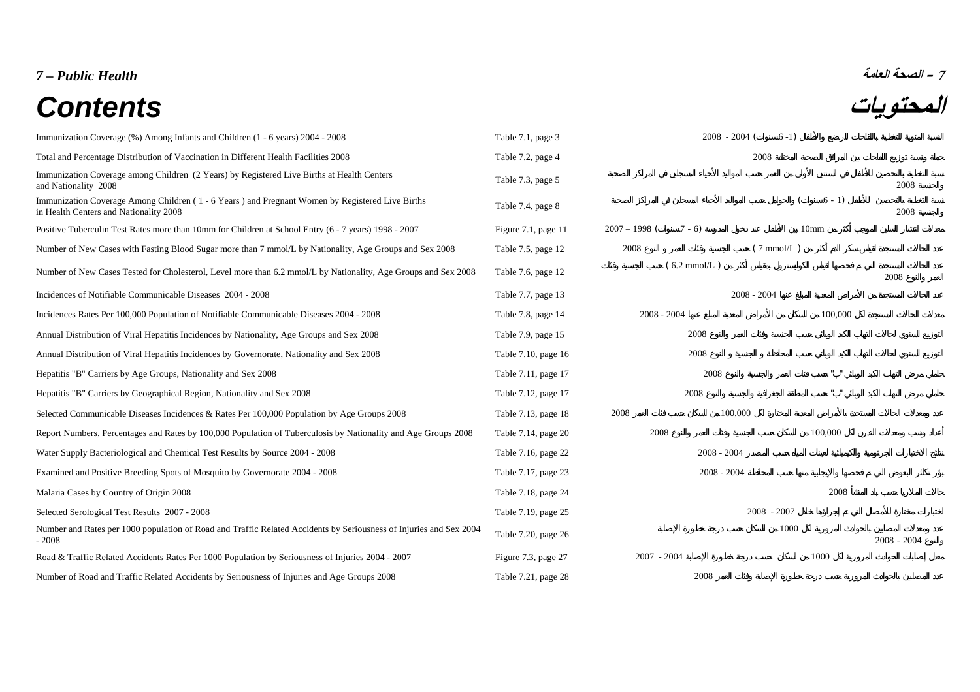# **– الصحة العامة** *Health Public – 7*

# **المحتويات** *Contents*

| - الصحة العامة |  |  |  |  |  |
|----------------|--|--|--|--|--|
|----------------|--|--|--|--|--|

| ,,,,,,,,,                                                                                                                                 |                     |                          |                         | $\overline{\phantom{a}}$ |
|-------------------------------------------------------------------------------------------------------------------------------------------|---------------------|--------------------------|-------------------------|--------------------------|
| Immunization Coverage (%) Among Infants and Children (1 - 6 years) 2004 - 2008                                                            | Table 7.1, page 3   | $2008 - 2004$            | $6-1)$                  |                          |
| Total and Percentage Distribution of Vaccination in Different Health Facilities 2008                                                      | Table 7.2, page 4   |                          | 2008                    |                          |
| Immunization Coverage among Children (2 Years) by Registered Live Births at Health Centers<br>and Nationality 2008                        | Table 7.3, page 5   |                          |                         | 2008                     |
| Immunization Coverage Among Children (1 - 6 Years) and Pregnant Women by Registered Live Births<br>in Health Centers and Nationality 2008 | Table 7.4, page 8   |                          | $6 - 1$                 | 2008                     |
| Positive Tuberculin Test Rates more than 10mm for Children at School Entry (6 - 7 years) 1998 - 2007                                      | Figure 7.1, page 11 | $2007 - 1998$<br>$7 - 6$ | 10 <sub>mm</sub>        |                          |
| Number of New Cases with Fasting Blood Sugar more than 7 mmol/L by Nationality, Age Groups and Sex 2008                                   | Table 7.5, page 12  | 2008                     | $(7 \text{ mmol/L})$    |                          |
| Number of New Cases Tested for Cholesterol, Level more than 6.2 mmol/L by Nationality, Age Groups and Sex 2008                            | Table 7.6, page 12  | $(6.2 \text{ mmol/L})$   |                         | 2008                     |
| Incidences of Notifiable Communicable Diseases 2004 - 2008                                                                                | Table 7.7, page 13  |                          | $2008 - 2004$           |                          |
| Incidences Rates Per 100,000 Population of Notifiable Communicable Diseases 2004 - 2008                                                   | Table 7.8, page 14  | $2008 - 2004$            | 100,000                 |                          |
| Annual Distribution of Viral Hepatitis Incidences by Nationality, Age Groups and Sex 2008                                                 | Table 7.9, page 15  | 2008                     |                         |                          |
| Annual Distribution of Viral Hepatitis Incidences by Governorate, Nationality and Sex 2008                                                | Table 7.10, page 16 | 2008                     |                         |                          |
| Hepatitis "B" Carriers by Age Groups, Nationality and Sex 2008                                                                            | Table 7.11, page 17 | 2008                     | $\mathbf{u}=\mathbf{u}$ |                          |
| Hepatitis "B" Carriers by Geographical Region, Nationality and Sex 2008                                                                   | Table 7.12, page 17 | 2008                     | $\alpha = -\alpha$      |                          |
| Selected Communicable Diseases Incidences & Rates Per 100,000 Population by Age Groups 2008                                               | Table 7.13, page 18 | 2008<br>100,000          |                         |                          |
| Report Numbers, Percentages and Rates by 100,000 Population of Tuberculosis by Nationality and Age Groups 2008                            | Table 7.14, page 20 | 2008                     | 100,000                 |                          |
| Water Supply Bacteriological and Chemical Test Results by Source 2004 - 2008                                                              | Table 7.16, page 22 | $2008 - 2004$            |                         |                          |
| Examined and Positive Breeding Spots of Mosquito by Governorate 2004 - 2008                                                               | Table 7.17, page 23 | $2008 - 2004$            |                         |                          |
| Malaria Cases by Country of Origin 2008                                                                                                   | Table 7.18, page 24 |                          | 2008                    |                          |
| Selected Serological Test Results 2007 - 2008                                                                                             | Table 7.19, page 25 |                          | $2008 - 2007$           |                          |
| Number and Rates per 1000 population of Road and Traffic Related Accidents by Seriousness of Injuries and Sex 2004<br>$-2008$             | Table 7.20, page 26 |                          | 1000                    | $2008 - 2004$            |
| Road & Traffic Related Accidents Rates Per 1000 Population by Seriousness of Injuries 2004 - 2007                                         | Figure 7.3, page 27 | $2007 - 2004$            | 1000                    |                          |
| Number of Road and Traffic Related Accidents by Seriousness of Injuries and Age Groups 2008                                               | Table 7.21, page 28 | 2008                     |                         |                          |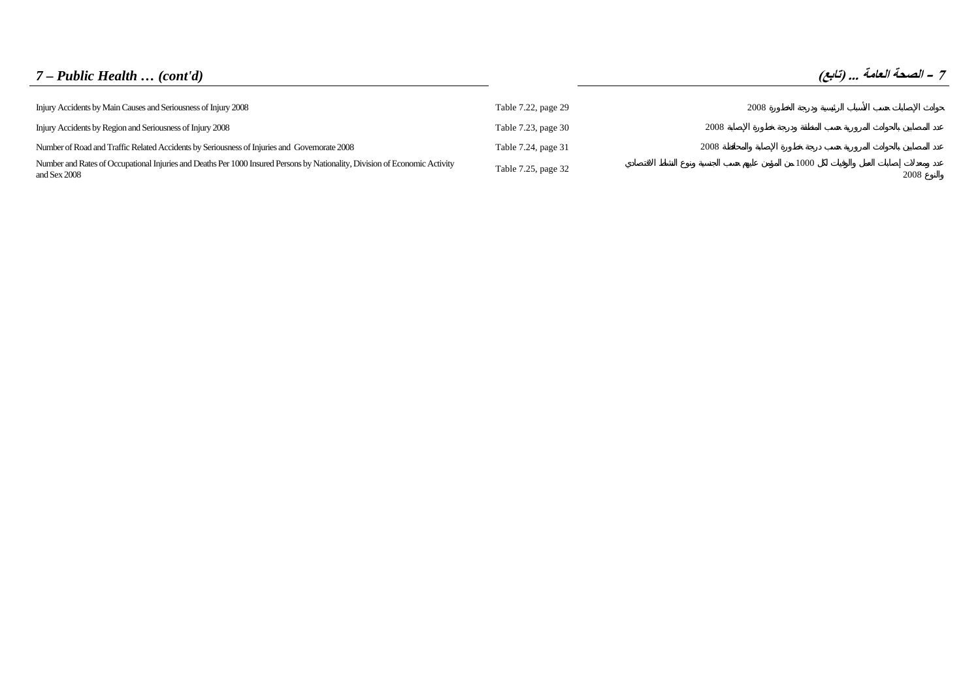# *7 – Public Health … (cont'd)* **(تابع (... العامة الصحة – <sup>7</sup>**

| Injury Accidents by Main Causes and Seriousness of Injury 2008                                                                              | Table 7.22, page 29 | 2008 |      |      |
|---------------------------------------------------------------------------------------------------------------------------------------------|---------------------|------|------|------|
| Injury Accidents by Region and Seriousness of Injury 2008                                                                                   | Table 7.23, page 30 | 2008 |      |      |
| Number of Road and Traffic Related Accidents by Seriousness of Injuries and Governorate 2008                                                | Table 7.24, page 31 | 2008 |      |      |
| Number and Rates of Occupational Injuries and Deaths Per 1000 Insured Persons by Nationality, Division of Economic Activity<br>and Sex 2008 | Table 7.25, page 32 |      | 1000 | 2008 |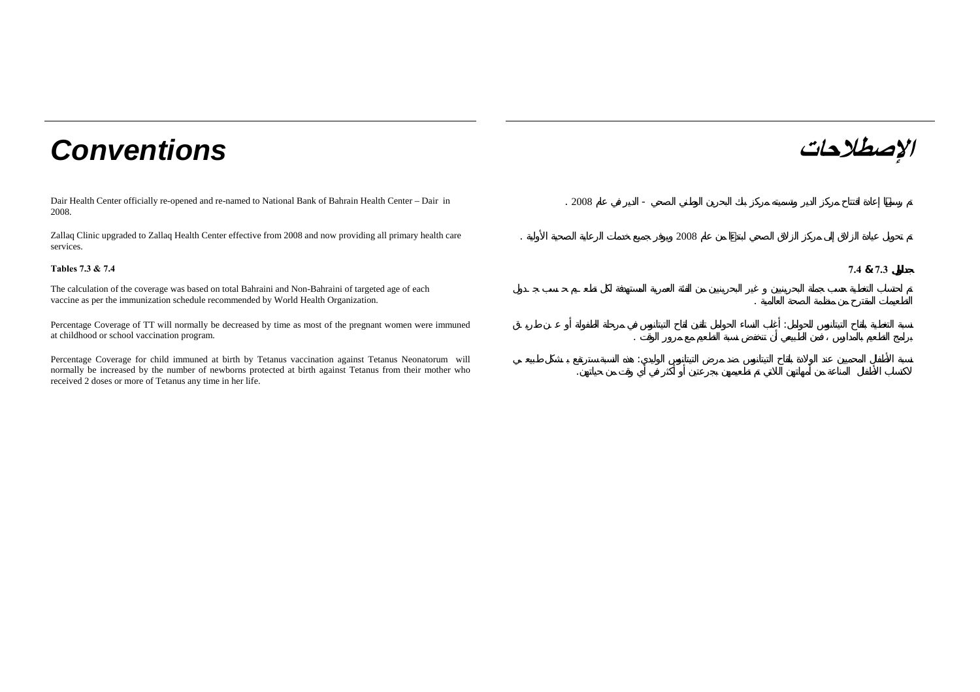# **الإصطلاحات** *Conventions*

Dair Health Center officially re-opened and re-named to National Bank of Bahrain Health Center – Dair in 2008.

Zallaq Clinic upgraded to Zallaq Health Center effective from 2008 and now providing all primary health care services.

The calculation of the coverage was based on total Bahraini and Non-Bahraini of targeted age of each vaccine as per the immunization schedule recommended by World Health Organization. .

Percentage Coverage of TT will normally be decreased by time as most of the pregnant women were immuned at childhood or school vaccination program.

Percentage Coverage for child immuned at birth by Tetanus vaccination against Tetanus Neonatorum will normally be increased by the number of newborns protected at birth against Tetanus from their mother who received 2 doses or more of Tetanus any time in her life.

 . 2008 - 2008**Tables 7.3 & 7.4 7.4& 7.3**

:

: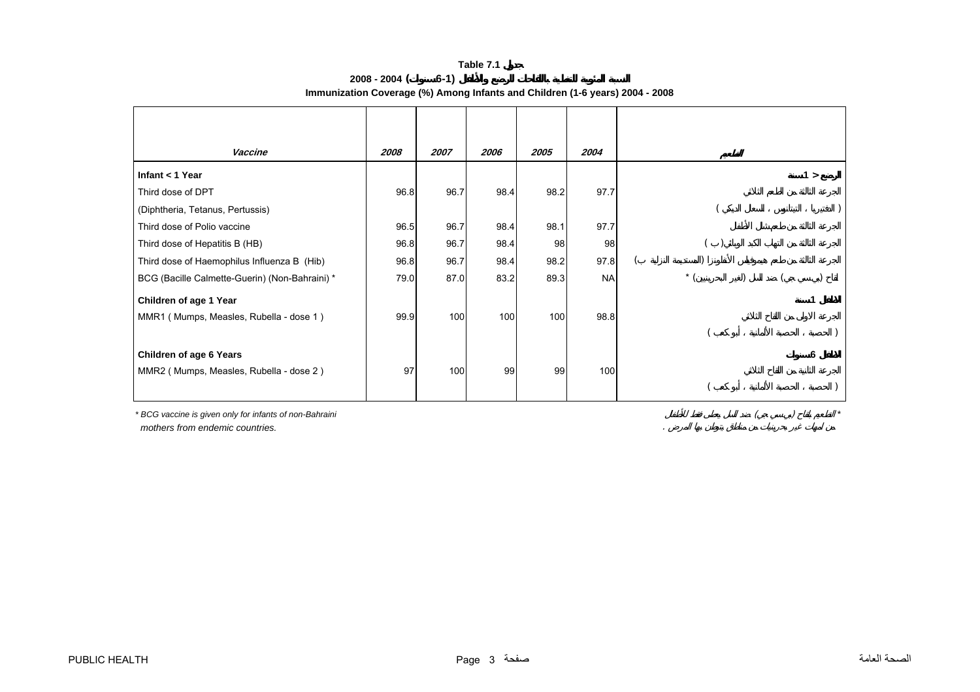#### **2008 - 2004 ( 6-1) Immunization Coverage (%) Among Infants and Children (1-6 years) 2004 - 2008**

<span id="page-3-0"></span>

| Vaccine                                                                                             | 2008 | 2007 | 2006 | 2005 | 2004      |       |     |
|-----------------------------------------------------------------------------------------------------|------|------|------|------|-----------|-------|-----|
| Infant $<$ 1 Year                                                                                   |      |      |      |      |           |       | 1 > |
| Third dose of DPT                                                                                   | 96.8 | 96.7 | 98.4 | 98.2 | 97.7      |       |     |
| (Diphtheria, Tetanus, Pertussis)                                                                    |      |      |      |      |           |       |     |
| Third dose of Polio vaccine                                                                         | 96.5 | 96.7 | 98.4 | 98.1 | 97.7      |       |     |
| Third dose of Hepatitis B (HB)                                                                      | 96.8 | 96.7 | 98.4 | 98   | 98        |       |     |
| Third dose of Haemophilus Influenza B (Hib)                                                         | 96.8 | 96.7 | 98.4 | 98.2 | 97.8      |       |     |
| BCG (Bacille Calmette-Guerin) (Non-Bahraini) *                                                      | 79.0 | 87.0 | 83.2 | 89.3 | <b>NA</b> | $*$ ( |     |
|                                                                                                     |      |      |      |      |           |       |     |
| MMR1 (Mumps, Measles, Rubella - dose 1)                                                             | 99.9 | 100  | 100  | 100  | 98.8      |       |     |
|                                                                                                     |      |      |      |      |           |       |     |
|                                                                                                     |      |      |      |      |           |       | 6   |
|                                                                                                     | 97   |      | 99   | 99   | 100       |       |     |
|                                                                                                     |      |      |      |      |           |       |     |
| Children of age 1 Year<br><b>Children of age 6 Years</b><br>MMR2 (Mumps, Measles, Rubella - dose 2) |      | 100  |      |      |           |       |     |

*\* BCG vaccine is given only for infants of non-Bahraini mothers from endemic countries.* . ( ) *\**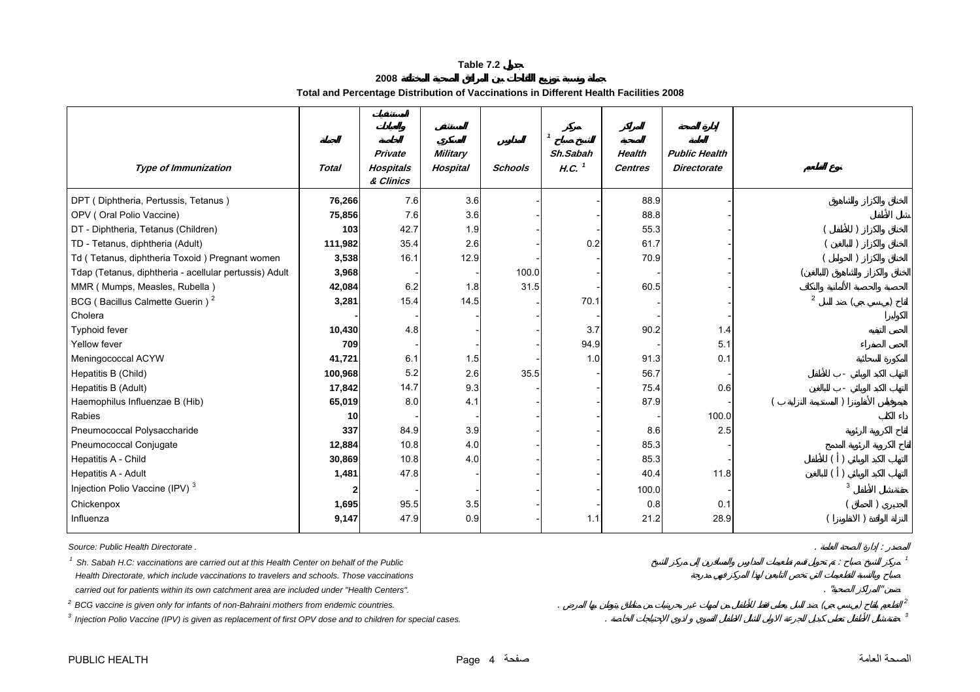**2008**

**Total and Percentage Distribution of Vaccinations in Different Health Facilities 2008**

<span id="page-4-0"></span>

| <b>Type of Immunization</b>                            | <b>Total</b> | Private<br><b>Hospitals</b> | <b>Military</b><br><b>Hospital</b> | Schools | Sh.Sabah<br>$H.C.$ <sup>1</sup> | <b>Health</b><br><b>Centres</b> | <b>Public Health</b><br><b>Directorate</b> |                |
|--------------------------------------------------------|--------------|-----------------------------|------------------------------------|---------|---------------------------------|---------------------------------|--------------------------------------------|----------------|
|                                                        |              | & Clinics                   |                                    |         |                                 |                                 |                                            |                |
| DPT (Diphtheria, Pertussis, Tetanus)                   | 76,266       | 7.6                         | 3.6                                |         |                                 | 88.9                            |                                            |                |
| OPV (Oral Polio Vaccine)                               | 75,856       | 7.6                         | 3.6                                |         |                                 | 88.8                            |                                            |                |
| DT - Diphtheria, Tetanus (Children)                    | 103          | 42.7                        | 1.9                                |         |                                 | 55.3                            |                                            |                |
| TD - Tetanus, diphtheria (Adult)                       | 111,982      | 35.4                        | 2.6                                |         | 0.2                             | 61.7                            |                                            |                |
| Td (Tetanus, diphtheria Toxoid) Pregnant women         | 3,538        | 16.1                        | 12.9                               |         |                                 | 70.9                            |                                            |                |
| Tdap (Tetanus, diphtheria - acellular pertussis) Adult | 3,968        |                             |                                    | 100.0   |                                 |                                 |                                            |                |
| MMR (Mumps, Measles, Rubella)                          | 42,084       | 6.2                         | 1.8                                | 31.5    |                                 | 60.5                            |                                            |                |
| BCG (Bacillus Calmette Guerin) <sup>2</sup>            | 3,281        | 15.4                        | 14.5                               |         | 70.1                            |                                 |                                            | $\overline{2}$ |
| Cholera                                                |              |                             |                                    |         |                                 |                                 |                                            |                |
| <b>Typhoid fever</b>                                   | 10,430       | 4.8                         |                                    |         | 3.7                             | 90.2                            | 1.4                                        |                |
| Yellow fever                                           | 709          |                             |                                    |         | 94.9                            |                                 | 5.1                                        |                |
| Meningococcal ACYW                                     | 41,721       | 6.1                         | 1.5                                |         | 1.0                             | 91.3                            | 0.1                                        |                |
| Hepatitis B (Child)                                    | 100,968      | 5.2                         | 2.6                                | 35.5    |                                 | 56.7                            |                                            |                |
| Hepatitis B (Adult)                                    | 17,842       | 14.7                        | 9.3                                |         |                                 | 75.4                            | 0.6                                        |                |
| Haemophilus Influenzae B (Hib)                         | 65,019       | 8.0                         | 4.1                                |         |                                 | 87.9                            |                                            |                |
| Rabies                                                 | 10           |                             |                                    |         |                                 |                                 | 100.0                                      |                |
| Pneumococcal Polysaccharide                            | 337          | 84.9                        | 3.9                                |         |                                 | 8.6                             | 2.5                                        |                |
| Pneumococcal Conjugate                                 | 12,884       | 10.8                        | 4.0                                |         |                                 | 85.3                            |                                            |                |
| Hepatitis A - Child                                    | 30,869       | 10.8                        | 4.0                                |         |                                 | 85.3                            |                                            |                |
| Hepatitis A - Adult                                    | 1,481        | 47.8                        |                                    |         |                                 | 40.4                            | 11.8                                       |                |
| Injection Polio Vaccine (IPV) <sup>3</sup>             |              |                             |                                    |         |                                 | 100.0                           |                                            |                |
| Chickenpox                                             | 1,695        | 95.5                        | 3.5                                |         |                                 | 0.8                             | 0.1                                        |                |
| Influenza                                              | 9,147        | 47.9                        | 0.9                                |         | 1.1                             | 21.2                            | 28.9                                       |                |

*Source: Public Health Directorate .*. In the case of the case of the case of the case of the case of the case of the case of the case of the case of the case of the case of the case of the case of the case of the case of the case of the case of the case of

<sup>1</sup> Sh. Sabah H.C: vaccinations are carried out at this Health Center on behalf of the Public *<sup>1</sup> Health Directorate, which include vaccinations to travelers and schools. Those vaccinations* carried out for patients within its own catchment area are included under "Health Centers". **The article of the category of the case of the case of the case of the case of the case of the case of the case of the case of th** 

 $2^{2}$  BCG vaccine is given only for infants of non-Bahraini mothers from endemic countries.

*3 Injection Polio Vaccine (IPV) is given as replacement of first OPV dose and to children for special cases.* . *<sup>3</sup>*

PUBLIC HEALTH **PUBLIC HEALTH**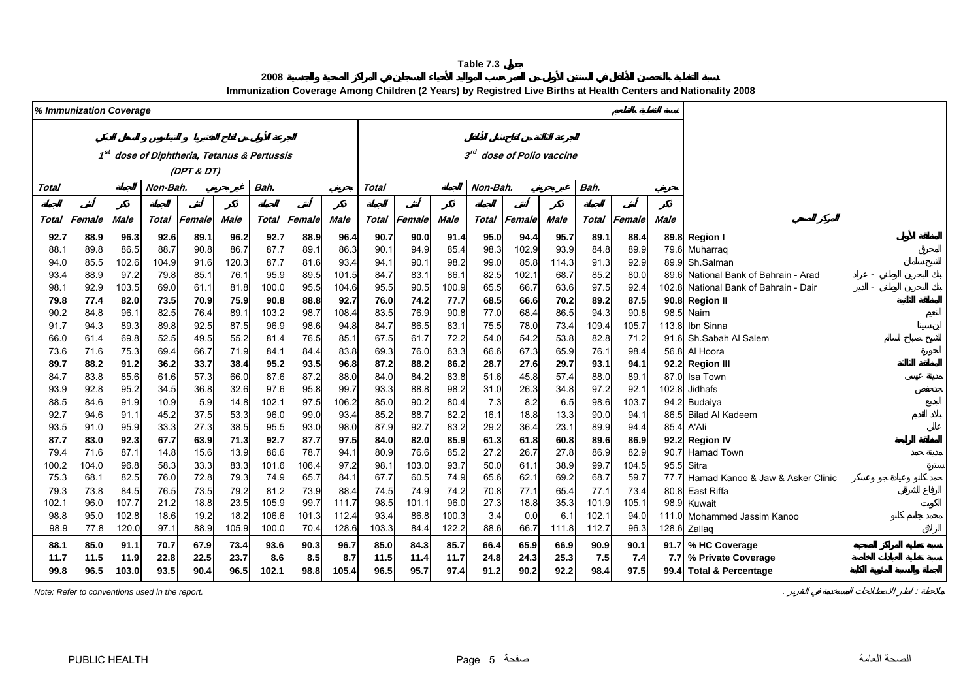**2008**

**Immunization Coverage Among Children (2 Years) by Registred Live Births at Health Centers and Nationality 2008**

<span id="page-5-0"></span>

|       | % Immunization Coverage |             |          |            |                                                         |              |        |       |                           |        |       |              |        |                                       |              |        |             |                                       |
|-------|-------------------------|-------------|----------|------------|---------------------------------------------------------|--------------|--------|-------|---------------------------|--------|-------|--------------|--------|---------------------------------------|--------------|--------|-------------|---------------------------------------|
|       |                         |             |          |            |                                                         |              |        |       |                           |        |       |              |        |                                       |              |        |             |                                       |
|       |                         |             |          |            |                                                         |              |        |       |                           |        |       |              |        |                                       |              |        |             |                                       |
|       |                         |             |          |            | 1 <sup>st</sup> dose of Diphtheria, Tetanus & Pertussis |              |        |       |                           |        |       |              |        | 3 <sup>rd</sup> dose of Polio vaccine |              |        |             |                                       |
|       |                         |             |          |            |                                                         |              |        |       |                           |        |       |              |        |                                       |              |        |             |                                       |
|       |                         |             |          | (DPT & DT) |                                                         |              |        |       |                           |        |       |              |        |                                       |              |        |             |                                       |
| Total |                         |             | Non-Bah. |            |                                                         | Bah.         |        |       | Bah.<br>Total<br>Non-Bah. |        |       |              |        |                                       |              |        |             |                                       |
|       |                         |             |          |            |                                                         |              |        |       |                           |        |       |              |        |                                       |              |        |             |                                       |
| Total | Female                  | <b>Male</b> | Total    | Female     | Male                                                    | <b>Total</b> | Female | Male  | <b>Total</b>              | Female | Male  | <b>Total</b> | Female | Male                                  | <b>Total</b> | Female | <b>Male</b> |                                       |
| 92.7  | 88.9                    | 96.3        | 92.6     | 89.1       | 96.2                                                    | 92.7         | 88.9   | 96.4  | 90.7                      | 90.0   | 91.4  | 95.0         | 94.4   | 95.7                                  | 89.1         | 88.4   |             | 89.8 Region I                         |
| 88.1  | 89.8                    | 86.5        | 88.7     | 90.8       | 86.7                                                    | 87.7         | 89.1   | 86.3  | 90.1                      | 94.9   | 85.4  | 98.3         | 102.9  | 93.9                                  | 84.8         | 89.9   |             | 79.6 Muharraq                         |
| 94.0  | 85.5                    | 102.6       | 104.9    | 91.6       | 120.3                                                   | 87.7         | 81.6   | 93.4  | 94.1                      | 90.1   | 98.2  | 99.0         | 85.8   | 114.3                                 | 91.3         | 92.9   |             | 89.9 Sh.Salman                        |
| 93.4  | 88.9                    | 97.2        | 79.8     | 85.1       | 76.1                                                    | 95.9         | 89.5   | 101.5 | 84.7                      | 83.1   | 86.1  | 82.5         | 102.1  | 68.7                                  | 85.2         | 80.0   |             | 89.6 National Bank of Bahrain - Arad  |
| 98.1  | 92.9                    | 103.5       | 69.0     | 61.1       | 81.8                                                    | 100.0        | 95.5   | 104.6 | 95.5                      | 90.5   | 100.9 | 65.5         | 66.7   | 63.6                                  | 97.5         | 92.4   |             | 102.8 National Bank of Bahrain - Dair |
| 79.8  | 77.4                    | 82.0        | 73.5     | 70.9       | 75.9                                                    | 90.8         | 88.8   | 92.7  | 76.0                      | 74.2   | 77.7  | 68.5         | 66.6   | 70.2                                  | 89.2         | 87.5   |             | 90.8 Region II                        |
| 90.2  | 84.8                    | 96.1        | 82.5     | 76.4       | 89.1                                                    | 103.2        | 98.7   | 108.4 | 83.5                      | 76.9   | 90.8  | 77.0         | 68.4   | 86.5                                  | 94.3         | 90.8   |             | 98.5 Naim                             |
| 91.7  | 94.3                    | 89.3        | 89.8     | 92.5       | 87.5                                                    | 96.9         | 98.6   | 94.8  | 84.7                      | 86.5   | 83.1  | 75.5         | 78.0   | 73.4                                  | 109.4        | 105.7  | 113.8       | Ibn Sinna                             |
| 66.0  | 61.4                    | 69.8        | 52.5     | 49.5       | 55.2                                                    | 81.4         | 76.5   | 85.7  | 67.5                      | 61.7   | 72.2  | 54.0         | 54.2   | 53.8                                  | 82.8         | 71.2   |             | 91.6 Sh.Sabah Al Salem                |
| 73.6  | 71.6                    | 75.3        | 69.4     | 66.7       | 71.9                                                    | 84.1         | 84.4   | 83.8  | 69.3                      | 76.0   | 63.3  | 66.6         | 67.3   | 65.9                                  | 76.1         | 98.4   |             | 56.8 Al Hoora                         |
| 89.7  | 88.2                    | 91.2        | 36.2     | 33.7       | 38.4                                                    | 95.2         | 93.5   | 96.8  | 87.2                      | 88.2   | 86.2  | 28.7         | 27.6   | 29.7                                  | 93.1         | 94.1   |             | 92.2 Region III                       |
| 84.7  | 83.8                    | 85.6        | 61.6     | 57.3       | 66.0                                                    | 87.6         | 87.2   | 88.0  | 84.0                      | 84.2   | 83.8  | 51.6         | 45.8   | 57.4                                  | 88.0         | 89.1   | 87.0        | Isa Town                              |
| 93.9  | 92.8                    | 95.2        | 34.5     | 36.8       | 32.6                                                    | 97.6         | 95.8   | 99.7  | 93.3                      | 88.8   | 98.2  | 31.0         | 26.3   | 34.8                                  | 97.2         | 92.1   | 102.8       | Jidhafs                               |
| 88.5  | 84.6                    | 91.9        | 10.9     | 5.9        | 14.8                                                    | 102.1        | 97.5   | 106.2 | 85.0                      | 90.2   | 80.4  | 7.3          | 8.2    | 6.5                                   | 98.6         | 103.7  |             | 94.2 Budaiya                          |
| 92.7  | 94.6                    | 91.1        | 45.2     | 37.5       | 53.3                                                    | 96.0         | 99.0   | 93.4  | 85.2                      | 88.7   | 82.2  | 16.1         | 18.8   | 13.3                                  | 90.0         | 94.1   |             | 86.5 Bilad Al Kadeem                  |
| 93.5  | 91.0                    | 95.9        | 33.3     | 27.3       | 38.5                                                    | 95.5         | 93.0   | 98.0  | 87.9                      | 92.7   | 83.2  | 29.2         | 36.4   | 23.1                                  | 89.9         | 94.4   |             | 85.4 A'Ali                            |
| 87.7  | 83.0                    | 92.3        | 67.7     | 63.9       | 71.3                                                    | 92.7         | 87.7   | 97.5  | 84.0                      | 82.0   | 85.9  | 61.3         | 61.8   | 60.8                                  | 89.6         | 86.9   |             | 92.2 Region IV                        |
| 79.4  | 71.6                    | 87.1        | 14.8     | 15.6       | 13.9                                                    | 86.6         | 78.7   | 94.7  | 80.9                      | 76.6   | 85.2  | 27.2         | 26.7   | 27.8                                  | 86.9         | 82.9   |             | 90.7 Hamad Town                       |
| 100.2 | 104.0                   | 96.8        | 58.3     | 33.3       | 83.3                                                    | 101.6        | 106.4  | 97.2  | 98.1                      | 103.0  | 93.7  | 50.0         | 61.1   | 38.9                                  | 99.7         | 104.5  | 95.5        | Sitra                                 |
| 75.3  | 68.1                    | 82.5        | 76.0     | 72.8       | 79.3                                                    | 74.9         | 65.7   | 84.1  | 67.7                      | 60.5   | 74.9  | 65.6         | 62.1   | 69.2                                  | 68.7         | 59.7   | 77.7        | Hamad Kanoo & Jaw & Asker Clinic      |
| 79.3  | 73.8                    | 84.5        | 76.5     | 73.5       | 79.2                                                    | 81.2         | 73.9   | 88.4  | 74.5                      | 74.9   | 74.2  | 70.8         | 77.1   | 65.4                                  | 77.1         | 73.4   | 80.8        | <b>East Riffa</b>                     |
| 102.1 | 96.0                    | 107.7       | 21.2     | 18.8       | 23.5                                                    | 105.9        | 99.7   | 111.7 | 98.5                      | 101.1  | 96.0  | 27.3         | 18.8   | 35.3                                  | 101.9        | 105.1  |             | 98.9 Kuwait                           |
| 98.8  | 95.0                    | 102.8       | 18.6     | 19.2       | 18.2                                                    | 106.6        | 101.3  | 112.4 | 93.4                      | 86.8   | 100.3 | 3.4          | 0.0    | 6.1                                   | 102.1        | 94.0   |             | 111.0 Mohammed Jassim Kanoo           |
| 98.9  | 77.8                    | 120.0       | 97.1     | 88.9       | 105.9                                                   | 100.0        | 70.4   | 128.6 | 103.3                     | 84.4   | 122.2 | 88.6         | 66.7   | 111.8                                 | 112.7        | 96.3   |             | 128.6 Zallaq                          |
| 88.1  | 85.0                    | 91.1        | 70.7     | 67.9       | 73.4                                                    | 93.6         | 90.3   | 96.7  | 85.0                      | 84.3   | 85.7  | 66.4         | 65.9   | 66.9                                  | 90.9         | 90.1   |             | 91.7 % HC Coverage                    |
| 11.7  | 11.5                    | 11.9        | 22.8     | 22.5       | 23.7                                                    | 8.6          | 8.5    | 8.7   | 11.5                      | 11.4   | 11.7  | 24.8         | 24.3   | 25.3                                  | 7.5          | 7.4    |             | 7.7 % Private Coverage                |
| 99.8  | 96.5                    | 103.0       | 93.5     | 90.4       | 96.5                                                    | 102.1        | 98.8   | 105.4 | 96.5                      | 95.7   | 97.4  | 91.2         | 90.2   | 92.2                                  | 98.4         | 97.5   |             | 99.4 Total & Percentage               |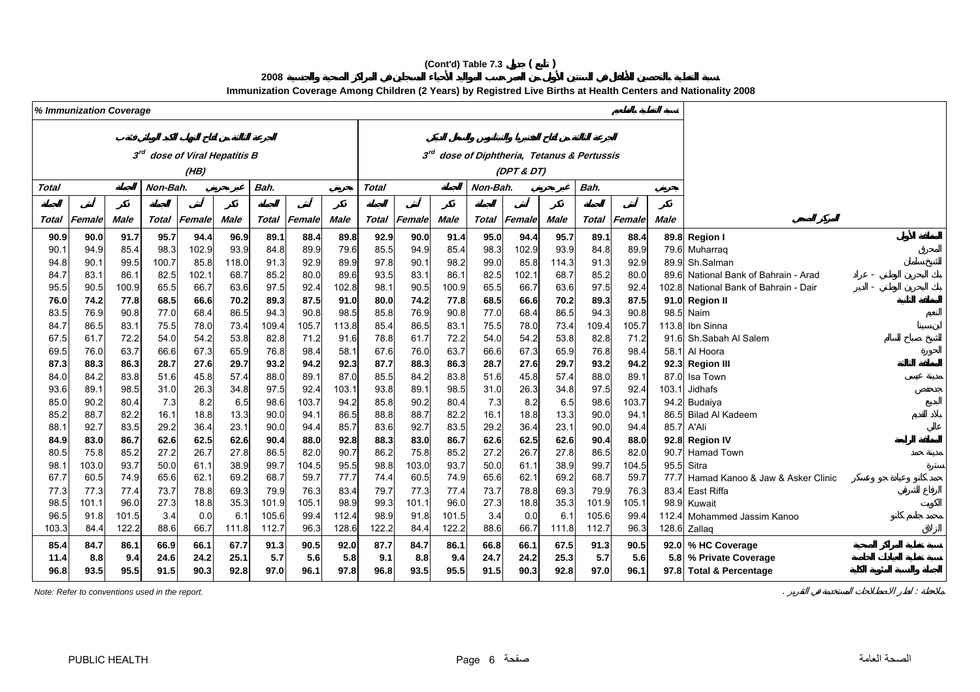# **(Cont'd) Table 7.3 ( )**

**2008**

**Immunization Coverage Among Children (2 Years) by Registred Live Births at Health Centers and Nationality 2008**

|              | % Immunization Coverage |              |              |                                           |              |              |              |              |              |              |              |              |              |              |                                             |              |       |                                       |
|--------------|-------------------------|--------------|--------------|-------------------------------------------|--------------|--------------|--------------|--------------|--------------|--------------|--------------|--------------|--------------|--------------|---------------------------------------------|--------------|-------|---------------------------------------|
|              |                         |              |              |                                           |              |              |              |              |              |              |              |              |              |              |                                             |              |       |                                       |
|              |                         |              |              |                                           |              |              |              |              |              |              |              |              |              |              |                                             |              |       |                                       |
|              |                         |              |              | 3 <sup>rd</sup> dose of Viral Hepatitis B |              |              |              |              |              |              |              |              |              |              | 3rd dose of Diphtheria, Tetanus & Pertussis |              |       |                                       |
|              |                         |              |              | (HB)                                      |              |              |              |              |              |              |              |              | (DPT & DT)   |              |                                             |              |       |                                       |
| Total        |                         |              | Non-Bah.     |                                           |              | Bah.         |              |              | <b>Total</b> |              |              | Non-Bah.     |              |              |                                             |              |       |                                       |
|              |                         |              |              |                                           |              |              |              |              |              |              |              |              |              |              |                                             |              |       |                                       |
|              |                         |              |              |                                           |              |              |              |              |              |              |              |              |              |              |                                             |              |       |                                       |
| Total        | Female                  | <b>Male</b>  | Total        | Female                                    | Male         | <b>Total</b> | Female       | <b>Male</b>  | Total        | Female       | <b>Male</b>  | Total        | Female       | <b>Male</b>  | <b>Total</b>                                | Female       | Male  |                                       |
| 90.9         | 90.0                    | 91.7         | 95.7         | 94.4                                      | 96.9         | 89.1         | 88.4         | 89.8         | 92.9         | 90.0         | 91.4         | 95.0         | 94.4         | 95.7         | 89.1                                        | 88.4         |       | 89.8 Region I                         |
| 90.1         | 94.9                    | 85.4         | 98.3         | 102.9                                     | 93.9         | 84.8         | 89.9         | 79.6         | 85.5         | 94.9         | 85.4         | 98.3         | 102.9        | 93.9         | 84.8                                        | 89.9         |       | 79.6 Muharraq                         |
| 94.8         | 90.1                    | 99.5         | 100.7        | 85.8                                      | 118.0        | 91.3         | 92.9         | 89.9         | 97.8         | 90.1         | 98.2         | 99.0         | 85.8         | 114.3        | 91.3                                        | 92.9         |       | 89.9 Sh.Salman                        |
| 84.7         | 83.1                    | 86.1         | 82.5         | 102.1                                     | 68.7         | 85.2         | 80.0         | 89.6         | 93.5         | 83.1         | 86.1         | 82.5         | 102.1        | 68.7         | 85.2                                        | 80.0         |       | 89.6 National Bank of Bahrain - Arad  |
| 95.5         | 90.5                    | 100.9        | 65.5         | 66.7                                      | 63.6         | 97.5         | 92.4         | 102.8        | 98.1         | 90.5         | 100.9        | 65.5         | 66.7         | 63.6         | 97.5                                        | 92.4         |       | 102.8 National Bank of Bahrain - Dair |
| 76.0         | 74.2                    | 77.8         | 68.5         | 66.6                                      | 70.2         | 89.3         | 87.5         | 91.0         | 80.0         | 74.2         | 77.8         | 68.5         | 66.6         | 70.2         | 89.3                                        | 87.5         |       | 91.0 Region II                        |
| 83.5         | 76.9                    | 90.8         | 77.0         | 68.4                                      | 86.5         | 94.3         | 90.8         | 98.5         | 85.8         | 76.9         | 90.8         | 77.0         | 68.4         | 86.5         | 94.3                                        | 90.8         |       | 98.5 Naim                             |
| 84.7         | 86.5                    | 83.1         | 75.5         | 78.0                                      | 73.4         | 109.4        | 105.7        | 113.8        | 85.4         | 86.5         | 83.1         | 75.5         | 78.0         | 73.4         | 109.4                                       | 105.7        | 113.8 | Ibn Sinna                             |
| 67.5         | 61.7                    | 72.2         | 54.0         | 54.2                                      | 53.8         | 82.8         | 71.2         | 91.6         | 78.8         | 61.7         | 72.2         | 54.0         | 54.2         | 53.8         | 82.8                                        | 71.2         |       | 91.6 Sh.Sabah Al Salem                |
| 69.5<br>87.3 | 76.0<br>88.3            | 63.7         | 66.6<br>28.7 | 67.3                                      | 65.9         | 76.8         | 98.4<br>94.2 | 58.1         | 67.6<br>87.7 | 76.0<br>88.3 | 63.7         | 66.6         | 67.3         | 65.9<br>29.7 | 76.8                                        | 98.4<br>94.2 |       | 58.1 Al Hoora                         |
|              | 84.2                    | 86.3<br>83.8 | 51.6         | 27.6<br>45.8                              | 29.7<br>57.4 | 93.2<br>88.0 | 89.1         | 92.3<br>87.C | 85.5         | 84.2         | 86.3<br>83.8 | 28.7         | 27.6<br>45.8 | 57.4         | 93.2<br>88.0                                | 89.1         | 87.0  | 92.3 Region III<br>Isa Town           |
| 84.0<br>93.6 | 89.1                    | 98.5         | 31.0         | 26.3                                      | 34.8         | 97.5         | 92.4         | 103.1        | 93.8         | 89.1         | 98.5         | 51.6<br>31.0 | 26.3         | 34.8         | 97.5                                        | 92.4         | 103.1 | Jidhafs                               |
| 85.0         | 90.2                    | 80.4         | 7.3          | 8.2                                       | 6.5          | 98.6         | 103.7        | 94.2         | 85.8         | 90.2         | 80.4         | 7.3          | 8.2          | 6.5          | 98.6                                        | 103.7        |       | 94.2 Budaiya                          |
| 85.2         | 88.7                    | 82.2         | 16.1         | 18.8                                      | 13.3         | 90.0         | 94.1         | 86.5         | 88.8         | 88.7         | 82.2         | 16.1         | 18.8         | 13.3         | 90.0                                        | 94.1         |       | 86.5 Bilad Al Kadeem                  |
| 88.1         | 92.7                    | 83.5         | 29.2         | 36.4                                      | 23.1         | 90.0         | 94.4         | 85.7         | 83.6         | 92.7         | 83.5         | 29.2         | 36.4         | 23.1         | 90.0                                        | 94.4         |       | 85.7 A'Ali                            |
| 84.9         | 83.0                    | 86.7         | 62.6         | 62.5                                      | 62.6         | 90.4         | 88.0         | 92.8         | 88.3         | 83.0         | 86.7         | 62.6         | 62.5         | 62.6         | 90.4                                        | 88.0         |       | 92.8 Region IV                        |
| 80.5         | 75.8                    | 85.2         | 27.2         | 26.7                                      | 27.8         | 86.5         | 82.0         | 90.7         | 86.2         | 75.8         | 85.2         | 27.2         | 26.7         | 27.8         | 86.5                                        | 82.0         |       | 90.7 Hamad Town                       |
| 98.1         | 103.0                   | 93.7         | 50.0         | 61.1                                      | 38.9         | 99.7         | 104.5        | 95.5         | 98.8         | 103.0        | 93.7         | 50.0         | 61.1         | 38.9         | 99.7                                        | 104.5        |       | 95.5 Sitra                            |
| 67.7         | 60.5                    | 74.9         | 65.6         | 62.1                                      | 69.2         | 68.7         | 59.7         | 77.7         | 74.4         | 60.5         | 74.9         | 65.6         | 62.1         | 69.2         | 68.7                                        | 59.7         | 77.7  | Hamad Kanoo & Jaw & Asker Clinic      |
| 77.3         | 77.3                    | 77.4         | 73.7         | 78.8                                      | 69.3         | 79.9         | 76.3         | 83.4         | 79.7         | 77.3         | 77.4         | 73.7         | 78.8         | 69.3         | 79.9                                        | 76.3         |       | 83.4 East Riffa                       |
| 98.5         | 101.1                   | 96.0         | 27.3         | 18.8                                      | 35.3         | 101.9        | 105.1        | 98.9         | 99.3         | 101.1        | 96.0         | 27.3         | 18.8         | 35.3         | 101.9                                       | 105.1        | 98.9  | Kuwait                                |
| 96.5         | 91.8                    | 101.5        | 3.4          | 0.0                                       | 6.1          | 105.6        | 99.4         | 112.4        | 98.9         | 91.8         | 101.5        | 3.4          | 0.0          | 6.1          | 105.6                                       | 99.4         |       | 112.4 Mohammed Jassim Kanoo           |
| 103.3        | 84.4                    | 122.2        | 88.6         | 66.7                                      | 111.8        | 112.7        | 96.3         | 128.6        | 122.2        | 84.4         | 122.2        | 88.6         | 66.7         | 111.8        | 112.7                                       | 96.3         |       | 128.6 Zallaq                          |
| 85.4         | 84.7                    | 86.1         | 66.9         | 66.1                                      | 67.7         | 91.3         | 90.5         | 92.0         | 87.7         | 84.7         | 86.1         | 66.8         | 66.1         | 67.5         | 91.3                                        | 90.5         |       | 92.0 % HC Coverage                    |
| 11.4         | 8.8                     | 9.4          | 24.6         | 24.2                                      | 25.1         | 5.7          | 5.6          | 5.8          | 9.1          | 8.8          | 9.4          | 24.7         | 24.2         | 25.3         | 5.7                                         | 5.6          |       | 5.8 % Private Coverage                |
| 96.8         | 93.5                    | 95.5         | 91.5         | 90.3                                      | 92.8         | 97.0         | 96.1         | 97.8         | 96.8         | 93.5         | 95.5         | 91.5         | 90.3         | 92.8         | 97.0                                        | 96.1         |       | 97.8 Total & Percentage               |
|              |                         |              |              |                                           |              |              |              |              |              |              |              |              |              |              |                                             |              |       |                                       |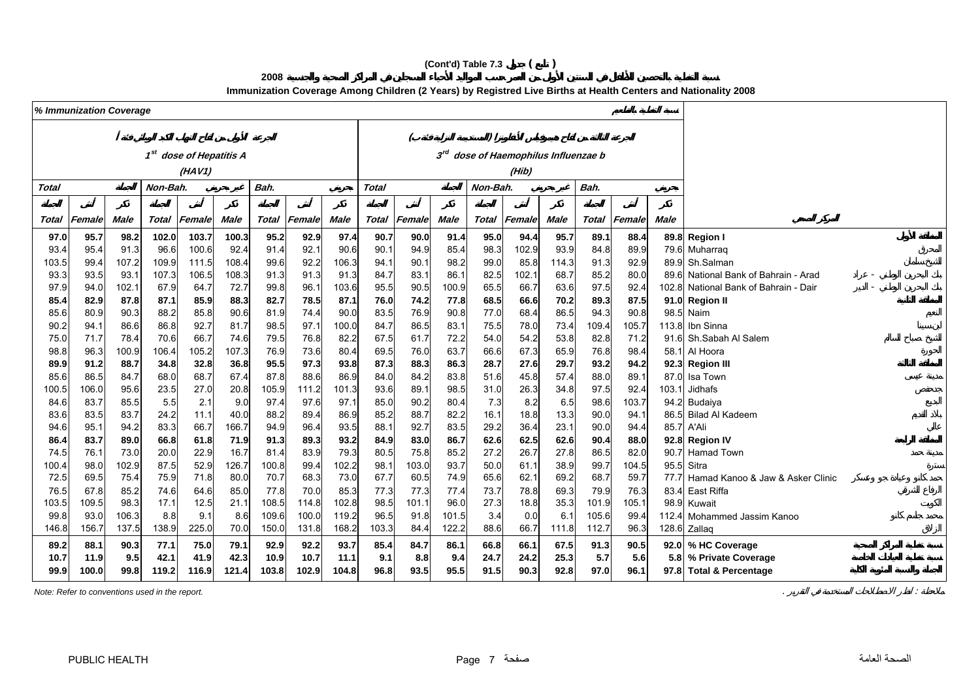# **(Cont'd) Table 7.3 ( )**

**2008**

**Immunization Coverage Among Children (2 Years) by Registred Live Births at Health Centers and Nationality 2008**

|              | % Immunization Coverage |               |                |                                     |               |              |              |                  |              |              |               |              |               |                                  |              |              |       |                                       |
|--------------|-------------------------|---------------|----------------|-------------------------------------|---------------|--------------|--------------|------------------|--------------|--------------|---------------|--------------|---------------|----------------------------------|--------------|--------------|-------|---------------------------------------|
|              |                         |               |                |                                     |               |              |              |                  |              |              |               |              |               |                                  |              |              |       |                                       |
|              |                         |               |                |                                     |               |              |              |                  |              |              |               |              |               |                                  |              |              |       |                                       |
|              |                         |               |                | 1 <sup>st</sup> dose of Hepatitis A |               |              |              |                  |              |              | $3^{rd}$      |              |               | dose of Haemophilus Influenzae b |              |              |       |                                       |
|              |                         |               |                | (HAV1)                              |               |              |              |                  |              |              |               |              | (Hib)         |                                  |              |              |       |                                       |
| <b>Total</b> |                         |               | Non-Bah.       |                                     |               | Bah.         |              |                  | <b>Total</b> |              |               | Non-Bah.     |               |                                  | Bah.         |              |       |                                       |
|              |                         |               |                |                                     |               |              |              |                  |              |              |               |              |               |                                  |              |              |       |                                       |
| Total        | Female                  | <b>Male</b>   | <b>Total</b>   | Female                              | <b>Male</b>   | <b>Total</b> | Female       | <b>Male</b>      | <b>Total</b> | Female       | <b>Male</b>   | Total        | Female        | Male                             | <b>Total</b> | Female       | Male  |                                       |
|              |                         |               |                |                                     |               |              |              |                  |              |              |               |              |               |                                  |              |              |       |                                       |
| 97.0         | 95.7                    | 98.2          | 102.0          | 103.7                               | 100.3         | 95.2         | 92.9         | 97.4             | 90.7         | 90.0         | 91.4          | 95.0         | 94.4          | 95.7                             | 89.1         | 88.4         |       | 89.8 Region I                         |
| 93.4         | 95.4                    | 91.3          | 96.6           | 100.6                               | 92.4          | 91.4         | 92.1         | 90.6             | 90.1         | 94.9         | 85.4          | 98.3         | 102.9         | 93.9                             | 84.8         | 89.9         |       | 79.6 Muharraq<br>89.9 Sh.Salman       |
| 103.5        | 99.4                    | 107.2         | 109.9<br>107.3 | 111.5                               | 108.4         | 99.6         | 92.2         | 106.3            | 94.1         | 90.1         | 98.2          | 99.0         | 85.8          | 114.3                            | 91.3         | 92.9         |       | 89.6 National Bank of Bahrain - Arad  |
| 93.3<br>97.9 | 93.5<br>94.0            | 93.1<br>102.1 | 67.9           | 106.5<br>64.7                       | 108.3<br>72.7 | 91.3<br>99.8 | 91.3<br>96.1 | 91.3<br>103.6    | 84.7<br>95.5 | 83.1<br>90.5 | 86.1<br>100.9 | 82.5<br>65.5 | 102.1<br>66.7 | 68.7<br>63.6                     | 85.2<br>97.5 | 80.0<br>92.4 |       | 102.8 National Bank of Bahrain - Dair |
| 85.4         | 82.9                    | 87.8          | 87.1           | 85.9                                | 88.3          | 82.7         | 78.5         | 87.1             | 76.0         | 74.2         | 77.8          | 68.5         | 66.6          | 70.2                             | 89.3         | 87.5         |       | 91.0 Region II                        |
| 85.6         | 80.9                    | 90.3          | 88.2           | 85.8                                | 90.6          | 81.9         | 74.4         | 90. <sub>C</sub> | 83.5         | 76.9         | 90.8          | 77.0         | 68.4          | 86.5                             | 94.3         | 90.8         |       | 98.5 Naim                             |
| 90.2         | 94.1                    | 86.6          | 86.8           | 92.7                                | 81.7          | 98.5         | 97.1         | 100.0            | 84.7         | 86.5         | 83.1          | 75.5         | 78.0          | 73.4                             | 109.4        | 105.7        |       | 113.8 Ibn Sinna                       |
| 75.0         | 71.7                    | 78.4          | 70.6           | 66.7                                | 74.6          | 79.5         | 76.8         | 82.2             | 67.5         | 61.7         | 72.2          | 54.0         | 54.2          | 53.8                             | 82.8         | 71.2         |       | 91.6 Sh.Sabah Al Salem                |
| 98.8         | 96.3                    | 100.9         | 106.4          | 105.2                               | 107.3         | 76.9         | 73.6         | 80.4             | 69.5         | 76.0         | 63.7          | 66.6         | 67.3          | 65.9                             | 76.8         | 98.4         |       | 58.1 Al Hoora                         |
| 89.9         | 91.2                    | 88.7          | 34.8           | 32.8                                | 36.8          | 95.5         | 97.3         | 93.8             | 87.3         | 88.3         | 86.3          | 28.7         | 27.6          | 29.7                             | 93.2         | 94.2         |       | 92.3 Region III                       |
| 85.6         | 86.5                    | 84.7          | 68.0           | 68.7                                | 67.4          | 87.8         | 88.6         | 86.9             | 84.0         | 84.2         | 83.8          | 51.6         | 45.8          | 57.4                             | 88.0         | 89.1         |       | 87.0 Isa Town                         |
| 100.5        | 106.0                   | 95.6          | 23.5           | 27.0                                | 20.8          | 105.9        | 111.2        | 101.3            | 93.6         | 89.1         | 98.5          | 31.0         | 26.3          | 34.8                             | 97.5         | 92.4         | 103.1 | Jidhafs                               |
| 84.6         | 83.7                    | 85.5          | 5.5            | 2.1                                 | 9.0           | 97.4         | 97.6         | 97.1             | 85.0         | 90.2         | 80.4          | 7.3          | 8.2           | 6.5                              | 98.6         | 103.7        |       | 94.2 Budaiya                          |
| 83.6         | 83.5                    | 83.7          | 24.2           | 11.1                                | 40.0          | 88.2         | 89.4         | 86.9             | 85.2         | 88.7         | 82.2          | 16.1         | 18.8          | 13.3                             | 90.0         | 94.1         |       | 86.5 Bilad Al Kadeem                  |
| 94.6         | 95.1                    | 94.2          | 83.3           | 66.7                                | 166.7         | 94.9         | 96.4         | 93.5             | 88.1         | 92.7         | 83.5          | 29.2         | 36.4          | 23.1                             | 90.0         | 94.4         |       | 85.7 A'Ali                            |
| 86.4         | 83.7                    | 89.0          | 66.8           | 61.8                                | 71.9          | 91.3         | 89.3         | 93.2             | 84.9         | 83.0         | 86.7          | 62.6         | 62.5          | 62.6                             | 90.4         | 88.0         |       | 92.8 Region IV                        |
| 74.5         | 76.1                    | 73.0          | 20.0           | 22.9                                | 16.7          | 81.4         | 83.9         | 79.3             | 80.5         | 75.8         | 85.2          | 27.2         | 26.7          | 27.8                             | 86.5         | 82.0         |       | 90.7 Hamad Town                       |
| 100.4        | 98.0                    | 102.9         | 87.5           | 52.9                                | 126.7         | 100.8        | 99.4         | 102.2            | 98.1         | 103.0        | 93.7          | 50.0         | 61.1          | 38.9                             | 99.7         | 104.5        |       | 95.5 Sitra                            |
| 72.5         | 69.5                    | 75.4          | 75.9           | 71.8                                | 80.0          | 70.7         | 68.3         | 73.0             | 67.7         | 60.5         | 74.9          | 65.6         | 62.1          | 69.2                             | 68.7         | 59.7         |       | 77.7 Hamad Kanoo & Jaw & Asker Clinic |
| 76.5         | 67.8                    | 85.2          | 74.6           | 64.6                                | 85.0          | 77.8         | 70.0         | 85.3             | 77.3         | 77.3         | 77.4          | 73.7         | 78.8          | 69.3                             | 79.9         | 76.3         |       | 83.4 East Riffa                       |
| 103.5        | 109.5                   | 98.3          | 17.1           | 12.5                                | 21.1          | 108.5        | 114.8        | 102.8            | 98.5         | 101.1        | 96.0          | 27.3         | 18.8          | 35.3                             | 101.9        | 105.1        |       | 98.9 Kuwait                           |
| 99.8         | 93.0                    | 106.3         | 8.8            | 9.1                                 | 8.6           | 109.6        | 100.0        | 119.2            | 96.5         | 91.8         | 101.5         | 3.4          | 0.0           | 6.1                              | 105.6        | 99.4         |       | 112.4 Mohammed Jassim Kanoo           |
| 146.8        | 156.7                   | 137.5         | 138.9          | 225.0                               | 70.0          | 150.0        | 131.8        | 168.2            | 103.3        | 84.4         | 122.2         | 88.6         | 66.7          | 111.8                            | 112.7        | 96.3         |       | 128.6 Zallaq                          |
| 89.2         | 88.1                    | 90.3          | 77.1           | 75.0                                | 79.1          | 92.9         | 92.2         | 93.7             | 85.4         | 84.7         | 86.1          | 66.8         | 66.1          | 67.5                             | 91.3         | 90.5         |       | 92.0 % HC Coverage                    |
| 10.7         | 11.9                    | 9.5           | 42.1           | 41.9                                | 42.3          | 10.9         | 10.7         | 11.1             | 9.1          | 8.8          | 9.4           | 24.7         | 24.2          | 25.3                             | 5.7          | 5.6          |       | 5.8 % Private Coverage                |
| 99.9         | 100.0                   | 99.8          | 119.2          | 116.9                               | 121.4         | 103.8        | 102.9        | 104.8            | 96.8         | 93.5         | 95.5          | 91.5         | 90.3          | 92.8                             | 97.0         | 96.1         |       | 97.8 Total & Percentage               |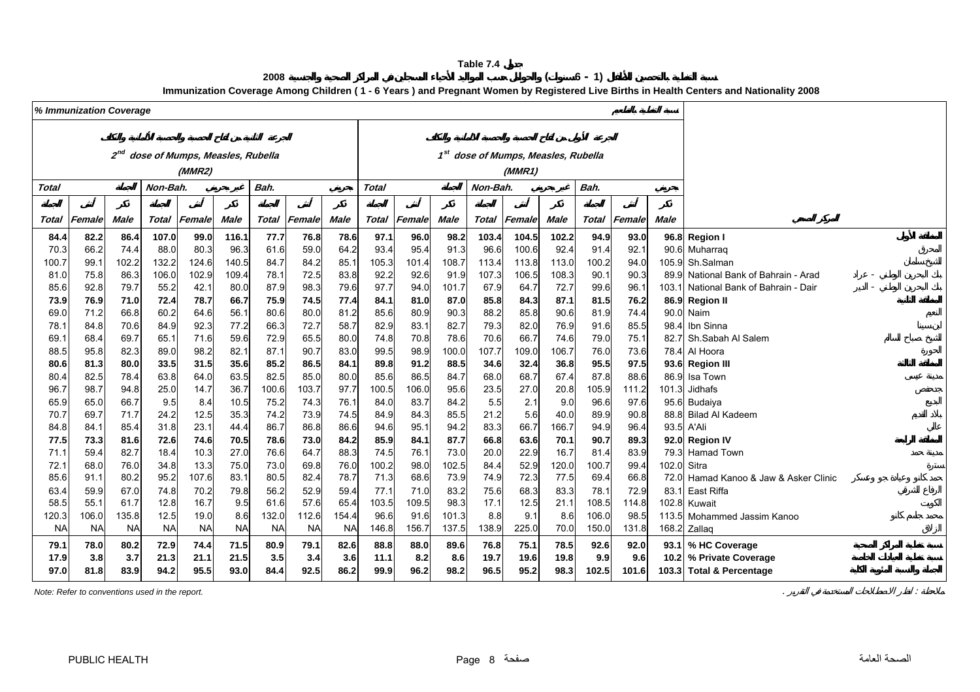**<sup>2008</sup> ( 6 - 1)**

**Immunization Coverage Among Children ( 1 - 6 Years ) and Pregnant Women by Registered Live Births in Health Centers and Nationality 2008**

<span id="page-8-0"></span>

|              | % Immunization Coverage |              |             |                                 |              |               |                     |              |               |               |              |             |                                     |             |               |               |             |                                       |
|--------------|-------------------------|--------------|-------------|---------------------------------|--------------|---------------|---------------------|--------------|---------------|---------------|--------------|-------------|-------------------------------------|-------------|---------------|---------------|-------------|---------------------------------------|
|              |                         |              |             |                                 |              |               |                     |              |               |               |              |             |                                     |             |               |               |             |                                       |
|              |                         | $2^{nd}$     |             | dose of Mumps, Measles, Rubella |              |               |                     |              |               |               |              |             | 1st dose of Mumps, Measles, Rubella |             |               |               |             |                                       |
|              |                         |              |             | (MMR2)                          |              |               |                     |              |               |               |              |             | (MMR1)                              |             |               |               |             |                                       |
| <b>Total</b> |                         |              | Non-Bah.    |                                 |              | Bah.          |                     |              | <b>Total</b>  |               |              | Non-Bah.    |                                     |             |               |               |             |                                       |
|              |                         |              |             |                                 |              |               |                     |              |               |               |              |             |                                     |             |               |               |             |                                       |
| Total        | Female                  | <b>Male</b>  | Total       | Female                          | <b>Male</b>  |               | <b>Total Female</b> | <b>Male</b>  | Total         | Female        | <b>Male</b>  | Total       | Female                              | Male        | Total         | Female        | <b>Male</b> |                                       |
| 84.4         | 82.2                    | 86.4         | 107.0       | 99.0                            | 116.1        | 77.7          | 76.8                | 78.6         | 97.1          | 96.0          | 98.2         | 103.4       | 104.5                               | 102.2       | 94.9          | 93.0          |             | 96.8 Region I                         |
| 70.3         | 66.2                    | 74.4         | 88.0        | 80.3                            | 96.3         | 61.6          | 59.0                | 64.2         | 93.4          | 95.4          | 91.3         | 96.6        | 100.6                               | 92.4        | 91.4          | 92.1          |             | 90.6 Muharraq                         |
| 100.7        | 99.1                    | 102.2        | 132.2       | 124.6                           | 140.5        | 84.7          | 84.2                | 85.1         | 105.3         | 101.4         | 108.7        | 113.4       | 113.8                               | 113.0       | 100.2         | 94.0          |             | 105.9 Sh.Salman                       |
| 81.0         | 75.8                    | 86.3         | 106.0       | 102.9                           | 109.4        | 78.1          | 72.5                | 83.8         | 92.2          | 92.6          | 91.9         | 107.3       | 106.5                               | 108.3       | 90.1          | 90.3          |             | 89.9 National Bank of Bahrain - Arad  |
| 85.6         | 92.8                    | 79.7         | 55.2        | 42.1                            | 80.0         | 87.9          | 98.3                | 79.6         | 97.7          | 94.0          | 101.7        | 67.9        | 64.7                                | 72.7        | 99.6          | 96.1          |             | 103.1 National Bank of Bahrain - Dair |
| 73.9         | 76.9                    | 71.0         | 72.4        | 78.7                            | 66.7         | 75.9          | 74.5                | 77.4         | 84.1          | 81.0          | 87.0         | 85.8        | 84.3                                | 87.1        | 81.5          | 76.2          |             | 86.9 Region II                        |
| 69.0         | 71.2                    | 66.8         | 60.2        | 64.6                            | 56.1         | 80.6          | 80.0                | 81.2         | 85.6          | 80.9          | 90.3         | 88.2        | 85.8                                | 90.6        | 81.9          | 74.4          |             | 90.0 Naim                             |
| 78.1         | 84.8                    | 70.6         | 84.9        | 92.3                            | 77.2         | 66.3          | 72.7                | 58.7         | 82.9          | 83.7          | 82.7         | 79.3        | 82.0                                | 76.9        | 91.6          | 85.5          | 98.4        | Ibn Sinna                             |
| 69.1         | 68.4                    | 69.7         | 65.1        | 71.6                            | 59.6         | 72.9          | 65.5                | 80.0         | 74.8          | 70.8          | 78.6         | 70.6        | 66.7                                | 74.6        | 79.0          | 75.1          | 82.7        | Sh.Sabah Al Salem                     |
| 88.5         | 95.8                    | 82.3         | 89.0        | 98.2                            | 82.1         | 87.1          | 90.7                | 83.0         | 99.5          | 98.9          | 100.0        | 107.7       | 109.0                               | 106.7       | 76.0          | 73.6          |             | 78.4 Al Hoora                         |
| 80.6         | 81.3                    | 80.0         | 33.5        | 31.5                            | 35.6         | 85.2          | 86.5                | 84.1         | 89.8          | 91.2          | 88.5         | 34.6        | 32.4                                | 36.8        | 95.5          | 97.5          |             | 93.6 Region III                       |
| 80.4         | 82.5<br>98.7            | 78.4         | 63.8        | 64.0                            | 63.5<br>36.7 | 82.5          | 85.0                | 80.0<br>97.7 | 85.6          | 86.5          | 84.7         | 68.0        | 68.7                                | 67.4        | 87.8          | 88.6          | 101.3       | 86.9 Isa Town<br>Jidhafs              |
| 96.7<br>65.9 | 65.0                    | 94.8<br>66.7 | 25.0<br>9.5 | 14.7                            | 10.5         | 100.6<br>75.2 | 103.7<br>74.3       | 76.1         | 100.5<br>84.0 | 106.0<br>83.7 | 95.6<br>84.2 | 23.5<br>5.5 | 27.0<br>2.1                         | 20.8<br>9.0 | 105.9<br>96.6 | 111.2<br>97.6 |             | 95.6 Budaiya                          |
| 70.7         | 69.7                    | 71.7         | 24.2        | 8.4<br>12.5                     | 35.3         | 74.2          | 73.9                | 74.5         | 84.9          | 84.3          | 85.5         | 21.2        | 5.6                                 | 40.0        | 89.9          | 90.8          |             | 88.8 Bilad Al Kadeem                  |
| 84.8         | 84.1                    | 85.4         | 31.8        | 23.1                            | 44.4         | 86.7          | 86.8                | 86.6         | 94.6          | 95.7          | 94.2         | 83.3        | 66.7                                | 166.7       | 94.9          | 96.4          |             | 93.5 A'Ali                            |
| 77.5         | 73.3                    | 81.6         | 72.6        | 74.6                            | 70.5         | 78.6          | 73.0                | 84.2         | 85.9          | 84.1          | 87.7         | 66.8        | 63.6                                | 70.1        | 90.7          | 89.3          |             | 92.0 Region IV                        |
| 71.1         | 59.4                    | 82.7         | 18.4        | 10.3                            | 27.0         | 76.6          | 64.7                | 88.3         | 74.5          | 76.1          | 73.0         | 20.0        | 22.9                                | 16.7        | 81.4          | 83.9          |             | 79.3 Hamad Town                       |
| 72.1         | 68.0                    | 76.0         | 34.8        | 13.3                            | 75.0         | 73.0          | 69.8                | 76.0         | 100.2         | 98.0          | 102.5        | 84.4        | 52.9                                | 120.0       | 100.7         | 99.4          | 102.0 Sitra |                                       |
| 85.6         | 91.1                    | 80.2         | 95.2        | 107.6                           | 83.1         | 80.5          | 82.4                | 78.7         | 71.3          | 68.6          | 73.9         | 74.9        | 72.3                                | 77.5        | 69.4          | 66.8          |             | 72.0 Hamad Kanoo & Jaw & Asker Clinic |
| 63.4         | 59.9                    | 67.0         | 74.8        | 70.2                            | 79.8         | 56.2          | 52.9                | 59.4         | 77.1          | 71.0          | 83.2         | 75.6        | 68.3                                | 83.3        | 78.1          | 72.9          |             | 83.1 East Riffa                       |
| 58.5         | 55.1                    | 61.7         | 12.8        | 16.7                            | 9.5          | 61.6          | 57.6                | 65.4         | 103.5         | 109.5         | 98.3         | 17.1        | 12.5                                | 21.1        | 108.5         | 114.8         |             | 102.8 Kuwait                          |
| 120.3        | 106.0                   | 135.8        | 12.5        | 19.0                            | 8.6          | 132.0         | 112.6               | 154.4        | 96.6          | 91.6          | 101.3        | 8.8         | 9.1                                 | 8.6         | 106.0         | 98.5          |             | 113.5 Mohammed Jassim Kanoo           |
| <b>NA</b>    | <b>NA</b>               | <b>NA</b>    | <b>NA</b>   | <b>NA</b>                       | <b>NA</b>    | <b>NA</b>     | <b>NA</b>           | <b>NA</b>    | 146.8         | 156.7         | 137.5        | 138.9       | 225.0                               | 70.0        | 150.0         | 131.8         |             | 168.2 Zallaq                          |
| 79.1         | 78.0                    | 80.2         | 72.9        | 74.4                            | 71.5         | 80.9          | 79.1                | 82.6         | 88.8          | 88.0          | 89.6         | 76.8        | 75.1                                | 78.5        | 92.6          | 92.0          |             | 93.1 % HC Coverage                    |
| 17.9         | 3.8                     | 3.7          | 21.3        | 21.1                            | 21.5         | 3.5           | 3.4                 | 3.6          | 11.1          | 8.2           | 8.6          | 19.7        | 19.6                                | 19.8        | 9.9           | 9.6           |             | 10.2 % Private Coverage               |
| 97.0         | 81.8                    | 83.9         | 94.2        | 95.5                            | 93.0         | 84.4          | 92.5                | 86.2         | 99.9          | 96.2          | 98.2         | 96.5        | 95.2                                | 98.3        | 102.5         | 101.6         |             | 103.3 Total & Percentage              |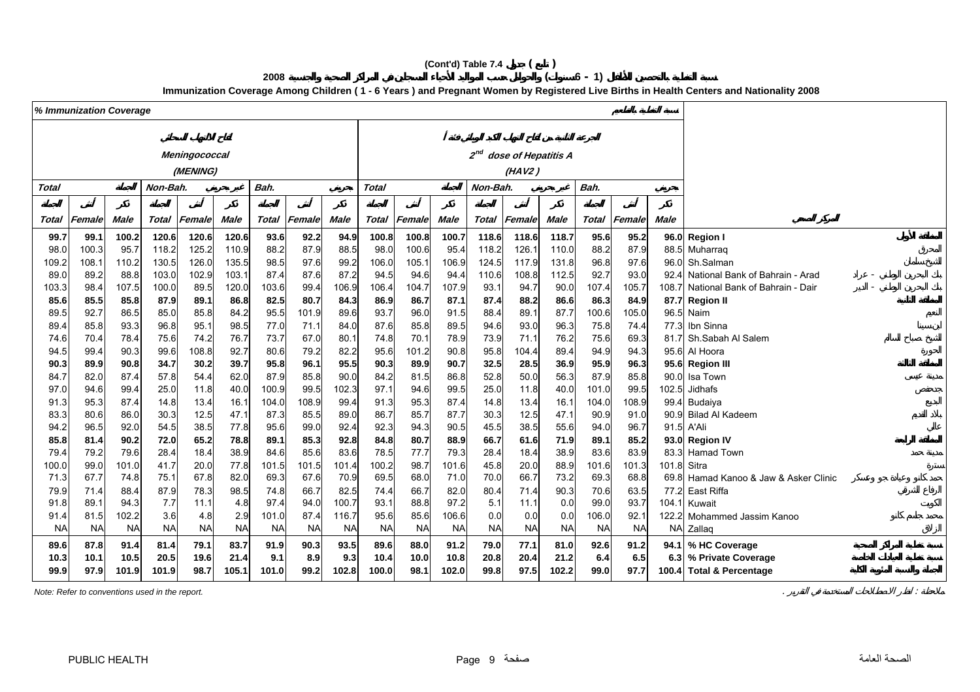# **(Cont'd) Table 7.4 ( )**

# **<sup>2008</sup> ( 6 - 1)**

**Immunization Coverage Among Children ( 1 - 6 Years ) and Pregnant Women by Registered Live Births in Health Centers and Nationality 2008**

|              | % Immunization Coverage |             |           |               |             |              |           |             |                                  |                |             |           |                     |             |           |                     |             |                                       |
|--------------|-------------------------|-------------|-----------|---------------|-------------|--------------|-----------|-------------|----------------------------------|----------------|-------------|-----------|---------------------|-------------|-----------|---------------------|-------------|---------------------------------------|
|              |                         |             |           |               |             |              |           |             |                                  |                |             |           |                     |             |           |                     |             |                                       |
|              |                         |             |           | Meningococcal |             |              |           |             |                                  |                |             | $2^{nd}$  | dose of Hepatitis A |             |           |                     |             |                                       |
|              |                         |             |           | (MENING)      |             |              |           |             |                                  |                |             |           | (HAV2)              |             |           |                     |             |                                       |
|              |                         |             |           |               |             |              |           |             |                                  |                |             |           |                     |             |           |                     |             |                                       |
| <b>Total</b> |                         |             | Non-Bah.  |               |             | Bah.         |           |             | <b>Total</b><br>Non-Bah.<br>Bah. |                |             |           |                     |             |           |                     |             |                                       |
|              |                         |             |           |               |             |              |           |             |                                  |                |             |           |                     |             |           |                     |             |                                       |
| Total        | Female                  | <b>Male</b> | Total     | Female        | <b>Male</b> | <b>Total</b> | Female    | <b>Male</b> | <b>Total</b>                     | Female         | <b>Male</b> | Total     | Female              | <b>Male</b> |           | <b>Total Female</b> | Male        |                                       |
| 99.7         | 99.1                    | 100.2       | 120.6     | 120.6         | 120.6       | 93.6         | 92.2      | 94.9        | 100.8                            | 100.8          | 100.7       | 118.6     | 118.6               | 118.7       | 95.6      | 95.2                |             | 96.0 Region I                         |
| 98.0         | 100.3                   | 95.7        | 118.2     | 125.2         | 110.9       | 88.2         | 87.9      | 88.5        | 98.0                             | 100.6          | 95.4        | 118.2     | 126.1               | 110.0       | 88.2      | 87.9                |             | 88.5 Muharraq                         |
| 109.2        | 108.1                   | 110.2       | 130.5     | 126.0         | 135.5       | 98.5         | 97.6      | 99.2        | 106.0                            | 105.7          | 106.9       | 124.5     | 117.9               | 131.8       | 96.8      | 97.6                |             | 96.0 Sh.Salman                        |
| 89.0         | 89.2                    | 88.8        | 103.0     | 102.9         | 103.1       | 87.4         | 87.6      | 87.2        | 94.5                             | 94.6           | 94.4        | 110.6     | 108.8               | 112.5       | 92.7      | 93.0                | 92.4        | National Bank of Bahrain - Arad       |
| 103.3        | 98.4                    | 107.5       | 100.0     | 89.5          | 120.0       | 103.6        | 99.4      | 106.9       | 106.4                            | 104.7          | 107.9       | 93.1      | 94.7                | 90.0        | 107.4     | 105.7               | 108.7       | National Bank of Bahrain - Dair       |
| 85.6         | 85.5                    | 85.8        | 87.9      | 89.1          | 86.8        | 82.5         | 80.7      | 84.3        | 86.9                             | 86.7           | 87.1        | 87.4      | 88.2                | 86.6        | 86.3      | 84.9                |             | 87.7 Region II                        |
| 89.5         | 92.7                    | 86.5        | 85.0      | 85.8          | 84.2        | 95.5         | 101.9     | 89.6        | 93.7                             | 96.C           | 91.5        | 88.4      | 89.1                | 87.7        | 100.6     | 105.0               |             | 96.5 Naim                             |
| 89.4         | 85.8                    | 93.3        | 96.8      | 95.1          | 98.5        | 77.0         | 71.1      | 84.0        | 87.6                             | 85.8           | 89.5        | 94.6      | 93.0                | 96.3        | 75.8      | 74.4                | 77.3        | Ibn Sinna                             |
| 74.6         | 70.4                    | 78.4        | 75.6      | 74.2          | 76.7        | 73.7         | 67.0      | 80.1        | 74.8                             | 70.1           | 78.9        | 73.9      | 71.1                | 76.2        | 75.6      | 69.3                | 81.7        | Sh.Sabah Al Salem                     |
| 94.5         | 99.4                    | 90.3        | 99.6      | 108.8         | 92.7        | 80.6         | 79.2      | 82.2        | 95.6                             | 101.2          | 90.8        | 95.8      | 104.4               | 89.4        | 94.9      | 94.3                |             | 95.6 Al Hoora                         |
| 90.3         | 89.9                    | 90.8        | 34.7      | 30.2          | 39.7        | 95.8         | 96.1      | 95.5        | 90.3                             | 89.9           | 90.7        | 32.5      | 28.5                | 36.9        | 95.9      | 96.3                |             | 95.6 Region III                       |
| 84.7         | 82.0                    | 87.4        | 57.8      | 54.4          | 62.0        | 87.9         | 85.8      | 90.0        | 84.2                             | 81.5           | 86.8        | 52.8      | 50.0                | 56.3        | 87.9      | 85.8                |             | 90.0 Isa Town                         |
| 97.0         | 94.6                    | 99.4        | 25.0      | 11.8          | 40.0        | 100.9        | 99.5      | 102.3       | 97.1                             | 94.6           | 99.5        | 25.0      | 11.8                | 40.0        | 101.0     | 99.5                | 102.5       | Jidhafs                               |
| 91.3         | 95.3                    | 87.4        | 14.8      | 13.4          | 16.1        | 104.0        | 108.9     | 99.4        | 91.3                             | 95.3           | 87.4        | 14.8      | 13.4                | 16.1        | 104.0     | 108.9               | 99.4        | Budaiya                               |
| 83.3         | 80.6                    | 86.0        | 30.3      | 12.5          | 47.1        | 87.3         | 85.5      | 89.0        | 86.7                             | 85.7           | 87.7        | 30.3      | 12.5                | 47.1        | 90.9      | 91.0                |             | 90.9 Bilad Al Kadeem                  |
| 94.2         | 96.5                    | 92.0        | 54.5      | 38.5          | 77.8        | 95.6         | 99.0      | 92.4        | 92.3                             | 94.3           | 90.5        | 45.5      | 38.5                | 55.6        | 94.0      | 96.7                |             | 91.5 A'Ali                            |
| 85.8         | 81.4                    | 90.2        | 72.0      | 65.2          | 78.8        | 89.1         | 85.3      | 92.8        | 84.8                             | 80.7           | 88.9        | 66.7      | 61.6                | 71.9        | 89.1      | 85.2                |             | 93.0 Region IV                        |
| 79.4         | 79.2                    | 79.6        | 28.4      | 18.4          | 38.9        | 84.6         | 85.6      | 83.6        | 78.5                             | 77.7           | 79.3        | 28.4      | 18.4                | 38.9        | 83.6      | 83.9                |             | 83.3 Hamad Town                       |
| 100.0        | 99.0                    | 101.0       | 41.7      | 20.0          | 77.8        | 101.5        | 101.5     | 101.4       | 100.2                            | 98.7           | 101.6       | 45.8      | 20.0                | 88.9        | 101.6     | 101.3               | 101.8 Sitra |                                       |
| 71.3         | 67.7                    | 74.8        | 75.1      | 67.8          | 82.0        | 69.3         | 67.6      | 70.9        | 69.5                             | 68.0           | 71.0        | 70.0      | 66.7                | 73.2        | 69.3      | 68.8                |             | 69.8 Hamad Kanoo & Jaw & Asker Clinic |
| 79.9         | 71.4                    | 88.4        | 87.9      | 78.3          | 98.5        | 74.8         | 66.7      | 82.5        | 74.4                             | 66.7           | 82.0        | 80.4      | 71.4                | 90.3        | 70.6      | 63.5                | 77.2        | East Riffa                            |
| 91.8         | 89.1                    | 94.3        | 7.7       | 11.1          | 4.8         | 97.4         | 94.0      | 100.7       | 93.1                             | 88.8           | 97.2        | 5.1       | 11.1                | 0.0         | 99.0      | 93.7                | 104.1       | Kuwait                                |
| 91.4         | 81.5                    | 102.2       | 3.6       | 4.8           | 2.9         | 101.0        | 87.4      | 116.7       | 95.6                             | 85.6           | 106.6       | 0.0       | 0.0                 | 0.0         | 106.0     | 92.1                |             | 122.2 Mohammed Jassim Kanoo           |
| <b>NA</b>    | <b>NA</b>               | <b>NA</b>   | <b>NA</b> | <b>NA</b>     | <b>NA</b>   | <b>NA</b>    | <b>NA</b> | <b>NA</b>   | <b>NA</b>                        | N <sub>A</sub> | <b>NA</b>   | <b>NA</b> | <b>NA</b>           | <b>NA</b>   | <b>NA</b> | <b>NA</b>           |             | NA Zallaq                             |
| 89.6         | 87.8                    | 91.4        | 81.4      | 79.1          | 83.7        | 91.9         | 90.3      | 93.5        | 89.6                             | 88.0           | 91.2        | 79.0      | 77.1                | 81.0        | 92.6      | 91.2                |             | 94.1 % HC Coverage                    |
| 10.3         | 10.1                    | 10.5        | 20.5      | 19.6          | 21.4        | 9.1          | 8.9       | 9.3         | 10.4                             | 10.0           | 10.8        | 20.8      | 20.4                | 21.2        | 6.4       | 6.5                 |             | 6.3 % Private Coverage                |
| 99.9         | 97.9                    | 101.9       | 101.9     | 98.7          | 105.1       | 101.0        | 99.2      | 102.8       | 100.0                            | 98.1           | 102.0       | 99.8      | 97.5                | 102.2       | 99.0      | 97.7                |             | 100.4 Total & Percentage              |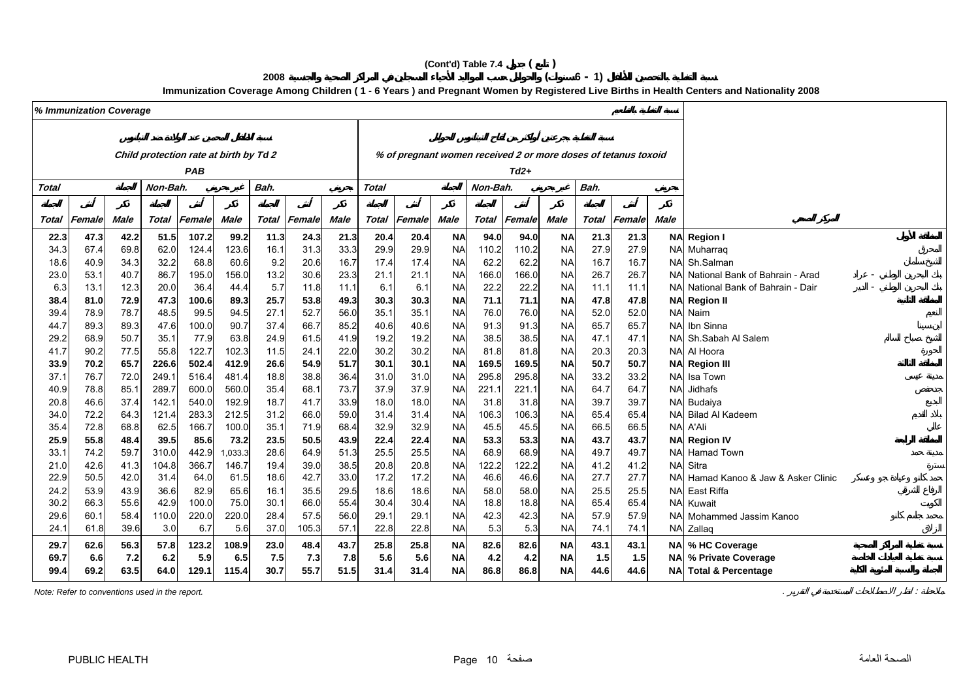# **(Cont'd) Table 7.4 ( )**

**<sup>2008</sup> ( 6 - 1)**

**Immunization Coverage Among Children ( 1 - 6 Years ) and Pregnant Women by Registered Live Births in Health Centers and Nationality 2008**

|              | % Immunization Coverage |              |               |                                        |                  |              |                     |              |              |                                                                |                        |              |              |                        |              |              |            |                                      |
|--------------|-------------------------|--------------|---------------|----------------------------------------|------------------|--------------|---------------------|--------------|--------------|----------------------------------------------------------------|------------------------|--------------|--------------|------------------------|--------------|--------------|------------|--------------------------------------|
|              |                         |              |               |                                        |                  |              |                     |              |              |                                                                |                        |              |              |                        |              |              |            |                                      |
|              |                         |              |               | Child protection rate at birth by Td 2 |                  |              |                     |              |              | % of pregnant women received 2 or more doses of tetanus toxoid |                        |              |              |                        |              |              |            |                                      |
|              |                         |              |               | PAB                                    |                  |              |                     |              |              |                                                                |                        |              | $Td2+$       |                        |              |              |            |                                      |
| Total        |                         |              | Non-Bah.      |                                        |                  | Bah.         |                     |              | <b>Total</b> |                                                                |                        | Non-Bah.     |              |                        |              |              |            |                                      |
|              |                         |              |               |                                        |                  |              |                     |              |              |                                                                |                        |              |              |                        |              |              |            |                                      |
| Total        | Female                  | Male         | Total         | Female                                 | Male             |              | <b>Total Female</b> | <b>Male</b>  | <b>Total</b> | Female                                                         | <b>Male</b>            | Total        | Female       | <b>Male</b>            | Total        | Female       | Male       |                                      |
| 22.3         | 47.3                    | 42.2         | 51.5          | 107.2                                  | 99.2             | 11.3         | 24.3                | 21.3         | 20.4         | 20.4                                                           | <b>NA</b>              | 94.0         | 94.0         | <b>NA</b>              | 21.3         | 21.3         |            | NA Region I                          |
| 34.3         | 67.4                    | 69.8         | 62.0          | 124.4                                  | 123.6            | 16.1         | 31.3                | 33.3         | 29.9         | 29.9                                                           | <b>NA</b>              | 110.2        | 110.2        | <b>NA</b>              | 27.9         | 27.9         |            | NA Muharraq                          |
| 18.6         | 40.9                    | 34.3         | 32.2          | 68.8                                   | 60.6             | 9.2          | 20.6                | 16.7         | 17.4         | 17.4                                                           | NA                     | 62.2         | 62.2         | <b>NA</b>              | 16.7         | 16.7         |            | NA Sh.Salman                         |
| 23.0         | 53.1                    | 40.7         | 86.7          | 195.0                                  | 156.0            | 13.2         | 30.6                | 23.3         | 21.1         | 21.1                                                           | <b>NA</b>              | 166.0        | 166.0        | <b>NA</b>              | 26.7         | 26.7         |            | NAI National Bank of Bahrain - Arad  |
| 6.3          | 13.1                    | 12.3         | 20.0          | 36.4                                   | 44.4             | 5.7          | 11.8                | 11.1         | 6.1          | 6.1                                                            | <b>NA</b>              | 22.2         | 22.2         | <b>NA</b>              | 11.1         | 11.1         |            | NA National Bank of Bahrain - Dair   |
| 38.4         | 81.0                    | 72.9         | 47.3          | 100.6                                  | 89.3             | 25.7         | 53.8                | 49.3         | 30.3         | 30.3                                                           | <b>NA</b>              | 71.1         | 71.1         | <b>NA</b>              | 47.8         | 47.8         |            | <b>NA</b> Region II                  |
| 39.4         | 78.9                    | 78.7         | 48.5          | 99.5                                   | 94.5             | 27.1         | 52.7                | 56.0         | 35.1         | 35.1                                                           | <b>NA</b>              | 76.0         | 76.0         | <b>NA</b>              | 52.0         | 52.0         |            | NA Naim                              |
| 44.7         | 89.3                    | 89.3         | 47.6          | 100.0                                  | 90.7             | 37.4         | 66.7                | 85.2         | 40.6         | 40.6                                                           | <b>NA</b>              | 91.3         | 91.3         | <b>NA</b>              | 65.7         | 65.7         | <b>NA</b>  | Ibn Sinna                            |
| 29.2         | 68.9                    | 50.7         | 35.1          | 77.9                                   | 63.8             | 24.9         | 61.5                | 41.9         | 19.2         | 19.2                                                           | <b>NA</b>              | 38.5         | 38.5         | <b>NA</b>              | 47.1         | 47.1         |            | NA Sh.Sabah Al Salem                 |
| 41.7         | 90.2                    | 77.5         | 55.8          | 122.7                                  | 102.3            | 11.5         | 24.1                | 22.0         | 30.2         | 30.2                                                           | <b>NA</b>              | 81.8         | 81.8         | <b>NA</b>              | 20.3         | 20.3         |            | NA Al Hoora                          |
| 33.9         | 70.2                    | 65.7         | 226.6         | 502.4                                  | 412.9            | 26.6         | 54.9                | 51.7         | 30.1         | 30.1                                                           | <b>NA</b>              | 169.5        | 169.5        | <b>NA</b>              | 50.7         | 50.7         |            | <b>NA</b> Region III                 |
| 37.1         | 76.7                    | 72.0         | 249.1         | 516.4                                  | 481.4            | 18.8         | 38.8                | 36.4         | 31.0         | 31.0                                                           | <b>NA</b>              | 295.8        | 295.8        | <b>NA</b>              | 33.2         | 33.2         |            | NA Isa Town                          |
| 40.9         | 78.8                    | 85.1         | 289.7         | 600.0                                  | 560.0            | 35.4         | 68.1                | 73.7         | 37.9         | 37.9                                                           | <b>NA</b>              | 221.1        | 221.1        | <b>NA</b>              | 64.7         | 64.7         | <b>NAI</b> | Jidhafs                              |
| 20.8         | 46.6                    | 37.4         | 142.1         | 540.0                                  | 192.9            | 18.7         | 41.7                | 33.9         | 18.0         | 18.0                                                           | <b>NA</b>              | 31.8         | 31.8         | <b>NA</b>              | 39.7         | 39.7         |            | NA Budaiya                           |
| 34.0         | 72.2                    | 64.3         | 121.4         | 283.3                                  | 212.5            | 31.2         | 66.0                | 59.0         | 31.4         | 31.4                                                           | <b>NA</b>              | 106.3        | 106.3        | <b>NA</b>              | 65.4         | 65.4         |            | NA Bilad Al Kadeem                   |
| 35.4         | 72.8                    | 68.8         | 62.5          | 166.7                                  | 100.0            | 35.1         | 71.9                | 68.4         | 32.9         | 32.9                                                           | <b>NA</b><br><b>NA</b> | 45.5         | 45.5         | <b>NA</b>              | 66.5         | 66.5         |            | NA A'Ali                             |
| 25.9<br>33.1 | 55.8<br>74.2            | 48.4<br>59.7 | 39.5<br>310.0 | 85.6<br>442.9                          | 73.2             | 23.5<br>28.6 | 50.5<br>64.9        | 43.9<br>51.3 | 22.4<br>25.5 | 22.4<br>25.5                                                   | <b>NA</b>              | 53.3<br>68.9 | 53.3<br>68.9 | <b>NA</b><br><b>NA</b> | 43.7<br>49.7 | 43.7<br>49.7 |            | <b>NA</b> Region IV<br>NA Hamad Town |
| 21.0         | 42.6                    | 41.3         | 104.8         | 366.7                                  | 1,033.3<br>146.7 | 19.4         | 39.0                | 38.5         | 20.8         | 20.8                                                           | <b>NA</b>              | 122.2        | 122.2        | <b>NA</b>              | 41.2         | 41.2         |            | <b>NA</b> Sitra                      |
| 22.9         | 50.5                    | 42.0         | 31.4          | 64.0                                   | 61.5             | 18.6         | 42.7                | 33.0         | 17.2         | 17.2                                                           | <b>NA</b>              | 46.6         | 46.6         | <b>NA</b>              | 27.7         | 27.7         |            | NA Hamad Kanoo & Jaw & Asker Clinic  |
| 24.2         | 53.9                    | 43.9         | 36.6          | 82.9                                   | 65.6             | 16.1         | 35.5                | 29.5         | 18.6         | 18.6                                                           | <b>NA</b>              | 58.0         | 58.0         | <b>NA</b>              | 25.5         | 25.5         |            | NA East Riffa                        |
| 30.2         | 66.3                    | 55.6         | 42.9          | 100.0                                  | 75.0             | 30.1         | 66.0                | 55.4         | 30.4         | 30.4                                                           | <b>NA</b>              | 18.8         | 18.8         | <b>NA</b>              | 65.4         | 65.4         | <b>NA</b>  | Kuwait                               |
| 29.6         | 60.1                    | 58.4         | 110.0         | 220.0                                  | 220.0            | 28.4         | 57.5                | 56.0         | 29.1         | 29.1                                                           | <b>NA</b>              | 42.3         | 42.3         | <b>NA</b>              | 57.9         | 57.9         |            | NA Mohammed Jassim Kanoo             |
| 24.7         | 61.8                    | 39.6         | 3.0           | 6.7                                    | 5.6              | 37.0         | 105.3               | 57.1         | 22.8         | 22.8                                                           | <b>NA</b>              | 5.3          | 5.3          | <b>NA</b>              | 74.1         | 74.1         |            | NA Zallaq                            |
| 29.7         | 62.6                    | 56.3         | 57.8          | 123.2                                  | 108.9            | 23.0         | 48.4                | 43.7         | 25.8         | 25.8                                                           | <b>NA</b>              | 82.6         | 82.6         | <b>NA</b>              | 43.1         | 43.1         |            | NA % HC Coverage                     |
| 69.7         | 6.6                     | 7.2          | 6.2           | 5.9                                    | 6.5              | 7.5          | 7.3                 | 7.8          | 5.6          | 5.6                                                            | <b>NA</b>              | 4.2          | 4.2          | <b>NA</b>              | 1.5          | 1.5          |            | NA % Private Coverage                |
| 99.4         | 69.2                    | 63.5         | 64.0          | 129.1                                  | 115.4            | 30.7         | 55.7                | 51.5         | 31.4         | 31.4                                                           | <b>NA</b>              | 86.8         | 86.8         | <b>NA</b>              | 44.6         | 44.6         |            | NA Total & Percentage                |
|              |                         |              |               |                                        |                  |              |                     |              |              |                                                                |                        |              |              |                        |              |              |            |                                      |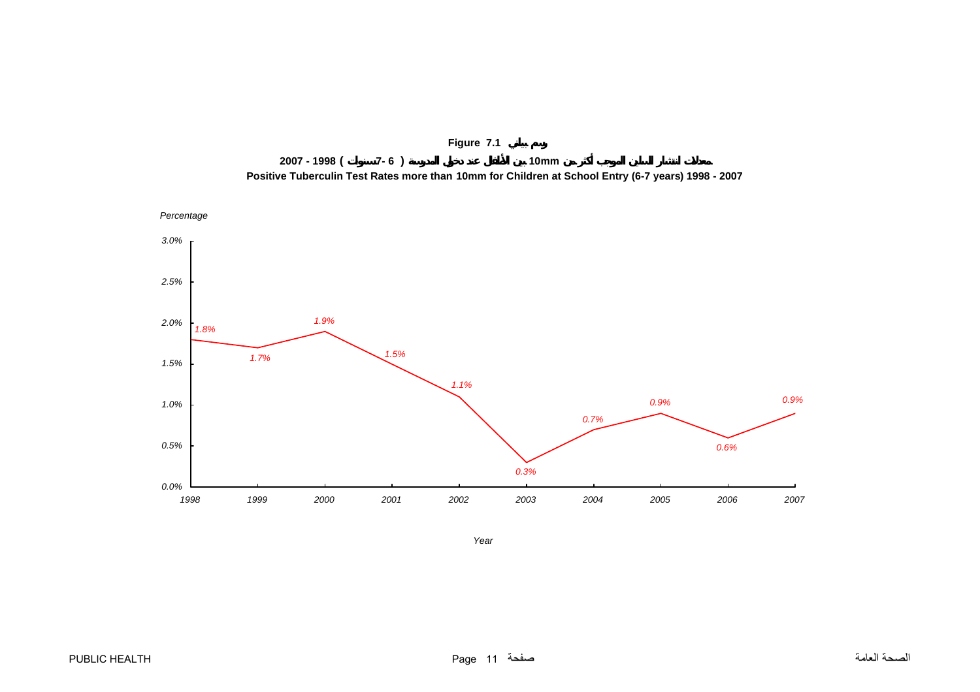<span id="page-11-0"></span>



*Year*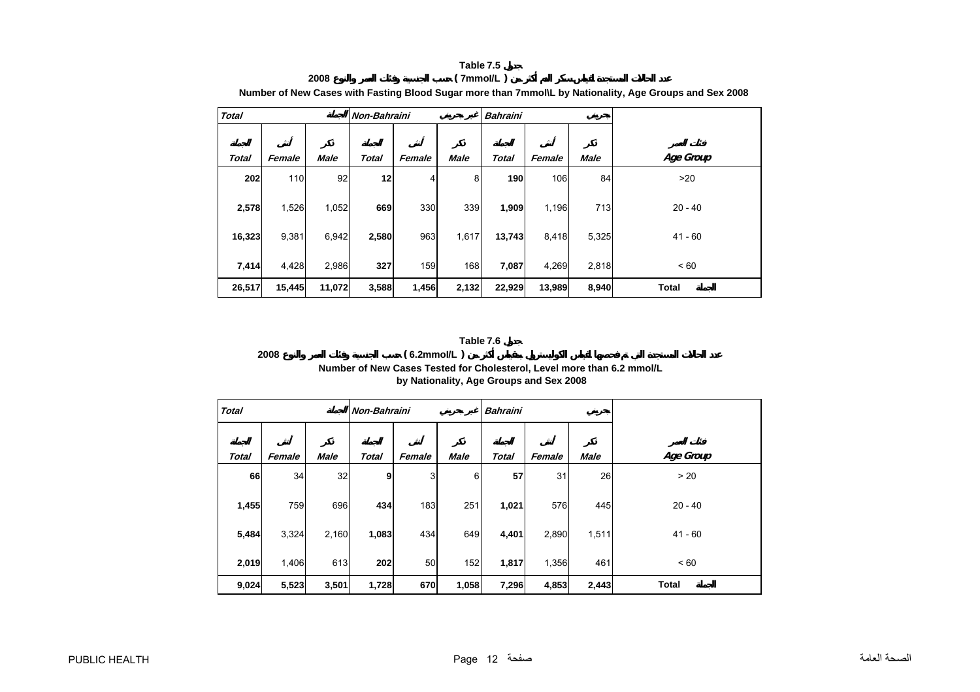#### **Table 7.5 2008 ( 7mmoI/L )**

<span id="page-12-0"></span>

|              |        |             |              |        |             |                 |        |             | <u>number of new oases with rasting Diood oagar more than rimmone by nationality, Age Oroups and Ock Z000</u> |
|--------------|--------|-------------|--------------|--------|-------------|-----------------|--------|-------------|---------------------------------------------------------------------------------------------------------------|
| <b>Total</b> |        |             | Non-Bahraini |        |             | <b>Bahraini</b> |        |             |                                                                                                               |
|              |        |             |              |        |             |                 |        |             |                                                                                                               |
| <b>Total</b> | Female | <b>Male</b> | <b>Total</b> | Female | <b>Male</b> | <b>Total</b>    | Female | <b>Male</b> | Age Group                                                                                                     |
| 202          | 110    | 92          | 12           | 4      | 8           | 190             | 106    | 84          | >20                                                                                                           |
| 2,578        | 1,526  | 1,052       | 669          | 330    | 339         | 1,909           | 1,196  | 713         | $20 - 40$                                                                                                     |
| 16,323       | 9,381  | 6,942       | 2,580        | 963    | 1,617       | 13,743          | 8,418  | 5,325       | $41 - 60$                                                                                                     |
| 7,414        | 4,428  | 2,986       | 327          | 159    | 168         | 7,087           | 4,269  | 2,818       | < 60                                                                                                          |
| 26,517       | 15,445 | 11,072      | 3,588        | 1,456  | 2,132       | 22,929          | 13,989 | 8,940       | <b>Total</b>                                                                                                  |

**Number of New Cases with Fasting Blood Sugar more than 7mmol\L by Nationality, Age Groups and Sex 2008**

#### **Table 7.6**

### **2008 ( 6.2mmoI/L ) Number of New Cases Tested for Cholesterol, Level more than 6.2 mmol/L by Nationality, Age Groups and Sex 2008**

| <b>Total</b> |        |             | Non-Bahraini |        |             | <b>Bahraini</b> |        |             |              |
|--------------|--------|-------------|--------------|--------|-------------|-----------------|--------|-------------|--------------|
|              |        |             |              |        |             |                 |        |             |              |
| <b>Total</b> | Female | <b>Male</b> | <b>Total</b> | Female | <b>Male</b> | <b>Total</b>    | Female | <b>Male</b> | Age Group    |
| 66           | 34     | 32          | 9            | 3      | 6           | 57              | 31     | 26          | > 20         |
| 1,455        | 759    | 696         | 434          | 183    | 251         | 1,021           | 576    | 445         | $20 - 40$    |
| 5,484        | 3,324  | 2,160       | 1,083        | 434    | 649         | 4,401           | 2,890  | 1,511       | $41 - 60$    |
| 2,019        | 1,406  | 613         | 202          | 50     | 152         | 1,817           | 1,356  | 461         | < 60         |
| 9,024        | 5,523  | 3,501       | 1,728        | 670    | 1,058       | 7,296           | 4,853  | 2,443       | <b>Total</b> |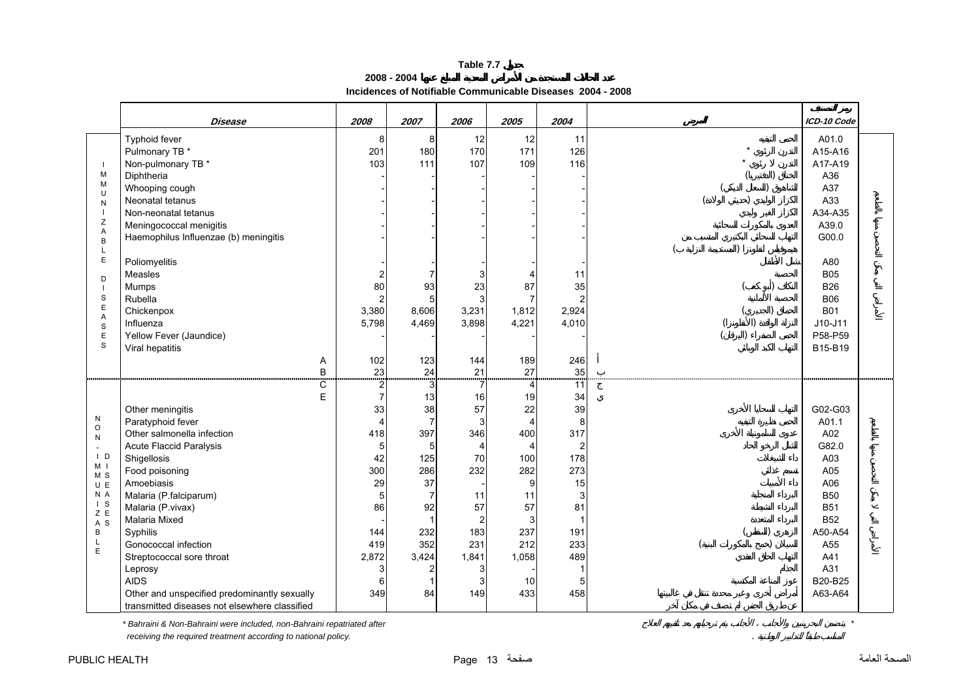#### **2008 - 2004 Incidences of Notifiable Communicable Diseases 2004 - 2008**

<span id="page-13-0"></span>

|                                                                                                                                                                            | Disease                                                                                                                                                                                                                                                                                                                                                                                                                         | 2008                                                                                                                                                       | 2007                                                                                             | 2006                                                                                                               | 2005                                                                                                                                                | 2004                                                                                                                            |           | ICD-10 Code                                                                                                                                           |  |
|----------------------------------------------------------------------------------------------------------------------------------------------------------------------------|---------------------------------------------------------------------------------------------------------------------------------------------------------------------------------------------------------------------------------------------------------------------------------------------------------------------------------------------------------------------------------------------------------------------------------|------------------------------------------------------------------------------------------------------------------------------------------------------------|--------------------------------------------------------------------------------------------------|--------------------------------------------------------------------------------------------------------------------|-----------------------------------------------------------------------------------------------------------------------------------------------------|---------------------------------------------------------------------------------------------------------------------------------|-----------|-------------------------------------------------------------------------------------------------------------------------------------------------------|--|
| - 1<br>M<br>M<br>$\cup$<br>N                                                                                                                                               | Typhoid fever<br>Pulmonary TB *<br>Non-pulmonary TB *<br>Diphtheria<br>Whooping cough<br>Neonatal tetanus                                                                                                                                                                                                                                                                                                                       | 8<br>201<br>103                                                                                                                                            | 8<br>180<br>111                                                                                  | 12<br>170<br>107                                                                                                   | 12<br>171<br>109                                                                                                                                    | 11<br>126<br>116                                                                                                                |           | A01.0<br>A15-A16<br>A17-A19<br>A36<br>A37<br>A33                                                                                                      |  |
| $\blacksquare$<br>Ζ<br>A<br>$\sf B$<br>L<br>E<br>D                                                                                                                         | Non-neonatal tetanus<br>Meningococcal menigitis<br>Haemophilus Influenzae (b) meningitis<br>Poliomyelitis<br>Measles                                                                                                                                                                                                                                                                                                            |                                                                                                                                                            |                                                                                                  | 3                                                                                                                  | $\overline{4}$                                                                                                                                      | 11                                                                                                                              |           | A34-A35<br>A39.0<br>G00.0<br>A80<br><b>B05</b>                                                                                                        |  |
| $\blacksquare$<br>$\mathbb S$<br>E<br>A<br>$\mathbb S$<br>$\mathsf E$<br>S                                                                                                 | <b>Mumps</b><br>Rubella<br>Chickenpox<br>Influenza<br>Yellow Fever (Jaundice)<br>Viral hepatitis<br>A                                                                                                                                                                                                                                                                                                                           | 80<br>$\overline{2}$<br>3,380<br>5,798<br>102                                                                                                              | 93<br>8,606<br>4,469<br>123                                                                      | 23<br>3<br>3,231<br>3,898<br>144                                                                                   | 87<br>$\overline{7}$<br>1,812<br>4,221<br>189                                                                                                       | 35<br>2,924<br>4,010<br>246                                                                                                     | $\lambda$ | <b>B26</b><br><b>B06</b><br><b>B01</b><br>$J10-J11$<br>P58-P59<br>B15-B19                                                                             |  |
| ${\sf N}$<br>$\mathsf O$<br>${\sf N}$<br>$\mathcal{L}$<br>$\vert$ D<br>M <sub>1</sub><br>M <sub>S</sub><br>U E<br>N A<br>$\vert$ S<br>Z E<br>A S<br>$\, {\bf B}$<br>L<br>E | B<br>C<br>E<br>Other meningitis<br>Paratyphoid fever<br>Other salmonella infection<br><b>Acute Flaccid Paralysis</b><br>Shigellosis<br>Food poisoning<br>Amoebiasis<br>Malaria (P.falciparum)<br>Malaria (P.vivax)<br>Malaria Mixed<br>Syphilis<br>Gonococcal infection<br>Streptococcal sore throat<br>Leprosy<br><b>AIDS</b><br>Other and unspecified predominantly sexually<br>transmitted diseases not elsewhere classified | 23<br>$\overline{c}$<br>$\overline{7}$<br>33<br>$\overline{\mathcal{L}}$<br>418<br>5<br>42<br>300<br>29<br>5<br>86<br>144<br>419<br>2,872<br>3<br>6<br>349 | 24<br>3<br>13<br>38<br>7<br>397<br>5<br>125<br>286<br>37<br>7<br>92<br>232<br>352<br>3,424<br>84 | 21<br>$\overline{7}$<br>16<br>57<br>3<br>346<br>4<br>70<br>232<br>11<br>57<br>183<br>231<br>1,841<br>3<br>3<br>149 | 27<br>$\overline{4}$<br>19<br>22<br>$\overline{4}$<br>400<br>$\overline{4}$<br>100<br>282<br>9<br>11<br>57<br>3<br>237<br>212<br>1,058<br>10<br>433 | 35<br>$\frac{55}{11}$<br>34<br>39<br>8<br>317<br>$\overline{2}$<br>178<br>273<br>15<br>3<br>81<br>191<br>233<br>489<br>5<br>458 |           | G02-G03<br>A01.1<br>A02<br>G82.0<br>A03<br>A05<br>A06<br><b>B50</b><br><b>B51</b><br><b>B52</b><br>A50-A54<br>A55<br>A41<br>A31<br>B20-B25<br>A63-A64 |  |

*\* Bahraini & Non-Bahraini were included, non-Bahraini repatriated after \**

 *receiving the required treatment according to national policy.* .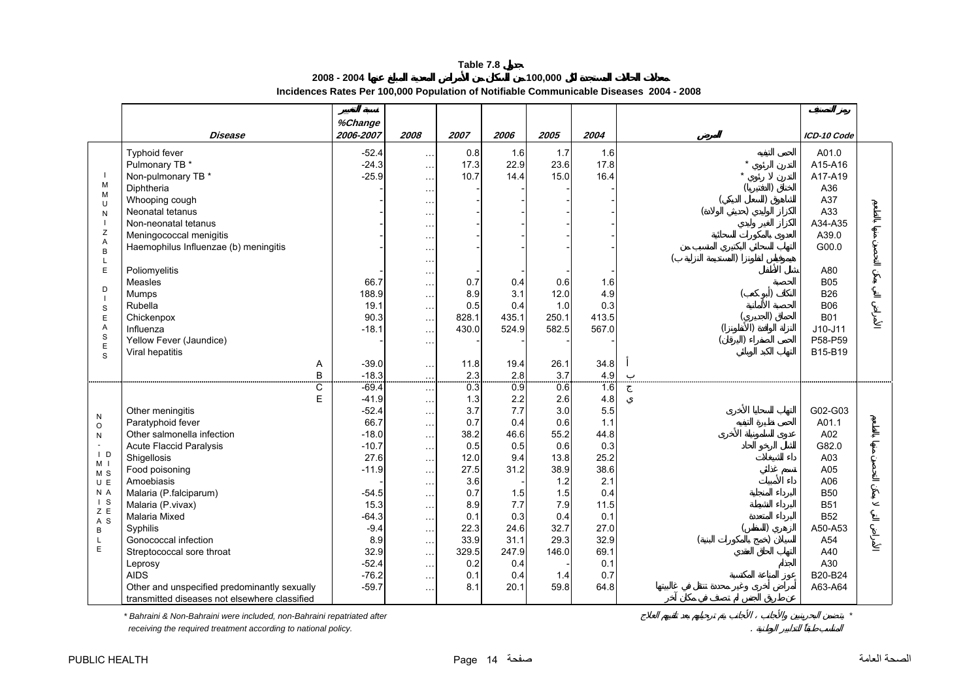**2008 - 2004**

**Incidences Rates Per 100,000 Population of Notifiable Communicable Diseases 2004 - 2008** 

**100,000**

<span id="page-14-0"></span>

|                                                                                                                                           |                                                                                                                                                                                                                                                                                                                                                                                                                                   | %Change                                                                                                                                                                |                                                                                                                                                                                                                        |                                                                                                                                   |                                                                                                                            |                                                                                                                             |                                                                                                                                    |                                                                                                                                                       |  |
|-------------------------------------------------------------------------------------------------------------------------------------------|-----------------------------------------------------------------------------------------------------------------------------------------------------------------------------------------------------------------------------------------------------------------------------------------------------------------------------------------------------------------------------------------------------------------------------------|------------------------------------------------------------------------------------------------------------------------------------------------------------------------|------------------------------------------------------------------------------------------------------------------------------------------------------------------------------------------------------------------------|-----------------------------------------------------------------------------------------------------------------------------------|----------------------------------------------------------------------------------------------------------------------------|-----------------------------------------------------------------------------------------------------------------------------|------------------------------------------------------------------------------------------------------------------------------------|-------------------------------------------------------------------------------------------------------------------------------------------------------|--|
|                                                                                                                                           | <b>Disease</b>                                                                                                                                                                                                                                                                                                                                                                                                                    | 2006-2007                                                                                                                                                              | 2008                                                                                                                                                                                                                   | 2007                                                                                                                              | 2006                                                                                                                       | 2005                                                                                                                        | 2004                                                                                                                               | ICD-10 Code                                                                                                                                           |  |
| M<br>M<br>$\cup$<br>N<br>Z<br>Α<br>$\mathsf B$                                                                                            | Typhoid fever<br>Pulmonary TB *<br>Non-pulmonary TB *<br>Diphtheria<br>Whooping cough<br>Neonatal tetanus<br>Non-neonatal tetanus<br>Meningococcal menigitis<br>Haemophilus Influenzae (b) meningitis                                                                                                                                                                                                                             | $-52.4$<br>$-24.3$<br>$-25.9$                                                                                                                                          | $\cdots$<br>$\cdots$<br>$\ddotsc$<br>$\ldots$<br>$\ddotsc$<br>$\cdots$<br>$\ddot{\phantom{a}}$<br>$\ddotsc$<br>$\cdot$                                                                                                 | 0.8<br>17.3<br>10.7                                                                                                               | 1.6<br>22.9<br>14.4                                                                                                        | 1.7<br>23.6<br>15.0                                                                                                         | 1.6<br>17.8<br>16.4                                                                                                                | A01.0<br>A15-A16<br>A17-A19<br>A36<br>A37<br>A33<br>A34-A35<br>A39.0<br>G00.0                                                                         |  |
| L<br>E<br>D<br>$\overline{\phantom{a}}$<br>$\mathbb S$<br>E<br>A<br>S<br>$\mathsf E$<br>S                                                 | Poliomyelitis<br>Measles<br>Mumps<br>Rubella<br>Chickenpox<br>Influenza<br>Yellow Fever (Jaundice)<br>Viral hepatitis<br>Α<br>B                                                                                                                                                                                                                                                                                                   | 66.7<br>188.9<br>19.1<br>90.3<br>$-18.1$<br>$-39.0$<br>$-18.3$                                                                                                         | $\ddotsc$<br>$\ddotsc$<br>$\cdots$<br>$\cdots$<br>$\sim$<br>$\cdots$<br>$\sim$<br>$\cdots$<br>$\cdots$<br>$\mathcal{L}^{(1)}$                                                                                          | 0.7<br>8.9<br>0.5<br>828.1<br>430.0<br>11.8<br>2.3                                                                                | 0.4<br>3.1<br>0.4<br>435.1<br>524.9<br>19.4<br>2.8                                                                         | 0.6<br>12.0<br>1.0<br>250.1<br>582.5<br>26.1<br>3.7                                                                         | 1.6<br>4.9<br>0.3<br>413.5<br>567.0<br>34.8<br>4.9                                                                                 | A80<br><b>B05</b><br><b>B26</b><br><b>B06</b><br><b>B01</b><br>$J10-J11$<br>P58-P59<br>B15-B19                                                        |  |
| ${\sf N}$<br>$\circ$<br>${\sf N}$<br>$\overline{D}$<br>M <sub>1</sub><br>M S<br>U E<br>N A<br>$\overline{S}$<br>Z E<br>A S<br>B<br>L<br>E | С<br>E<br>Other meningitis<br>Paratyphoid fever<br>Other salmonella infection<br><b>Acute Flaccid Paralysis</b><br>Shigellosis<br>Food poisoning<br>Amoebiasis<br>Malaria (P.falciparum)<br>Malaria (P.vivax)<br><b>Malaria Mixed</b><br>Syphilis<br>Gonococcal infection<br>Streptococcal sore throat<br>Leprosy<br><b>AIDS</b><br>Other and unspecified predominantly sexually<br>transmitted diseases not elsewhere classified | $-69.4$<br>$-41.9$<br>$-52.4$<br>66.7<br>$-18.0$<br>$-10.7$<br>27.6<br>$-11.9$<br>$-54.5$<br>15.3<br>$-64.3$<br>$-9.4$<br>8.9<br>32.9<br>$-52.4$<br>$-76.2$<br>$-59.7$ | $\cdots$<br>$\sim$<br>$\cdots$<br>$\sim$<br>$\ddotsc$<br>$\cdots$<br>$\cdots$<br>$\cdots$<br>$\cdots$<br>$\cdots$<br>$\cdots$<br>$\sim$ $\sim$<br>$\cdots$<br>$\cdots$<br>$\cdots$<br>$\cdots$<br>$\cdots$<br>$\cdots$ | 0.3<br>1.3<br>3.7<br>0.7<br>38.2<br>0.5<br>12.0<br>27.5<br>3.6<br>0.7<br>8.9<br>0.1<br>22.3<br>33.9<br>329.5<br>0.2<br>0.1<br>8.1 | 0.9<br>2.2<br>7.7<br>0.4<br>46.6<br>0.5<br>9.4<br>31.2<br>1.5<br>7.7<br>0.3<br>24.6<br>31.1<br>247.9<br>0.4<br>0.4<br>20.1 | 0.6<br>2.6<br>3.0<br>0.6<br>55.2<br>0.6<br>13.8<br>38.9<br>1.2<br>1.5<br>7.9<br>0.4<br>32.7<br>29.3<br>146.0<br>1.4<br>59.8 | 1.6<br>4.8<br>5.5<br>1.1<br>44.8<br>0.3<br>25.2<br>38.6<br>2.1<br>0.4<br>11.5<br>0.1<br>27.0<br>32.9<br>69.1<br>0.1<br>0.7<br>64.8 | G02-G03<br>A01.1<br>A02<br>G82.0<br>A03<br>A05<br>A06<br><b>B50</b><br><b>B51</b><br><b>B52</b><br>A50-A53<br>A54<br>A40<br>A30<br>B20-B24<br>A63-A64 |  |

*\* Bahraini & Non-Bahraini were included, non-Bahraini repatriated after \**

 *receiving the required treatment according to national policy.* .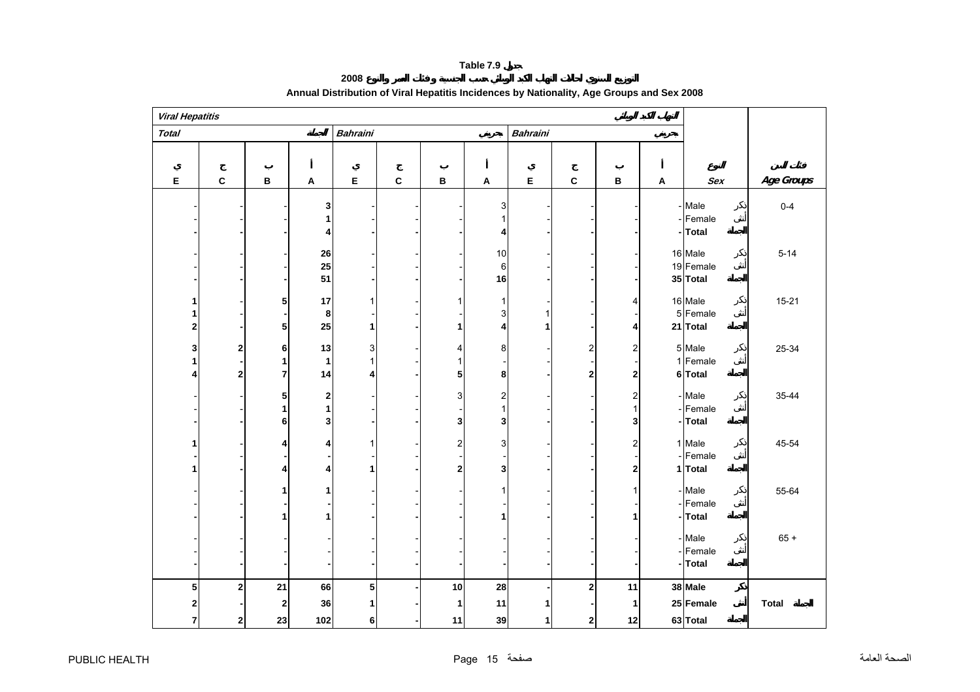**2008**

<span id="page-15-0"></span>

| <b>Viral Hepatitis</b> |              |              |                           |                 |             |                         |                           |                 |                         |                |                           |                      |              |
|------------------------|--------------|--------------|---------------------------|-----------------|-------------|-------------------------|---------------------------|-----------------|-------------------------|----------------|---------------------------|----------------------|--------------|
| <b>Total</b>           |              |              |                           | <b>Bahraini</b> |             |                         |                           | <b>Bahraini</b> |                         |                |                           |                      |              |
|                        |              |              |                           |                 |             |                         |                           |                 |                         |                |                           |                      |              |
| Е                      | $\mathbf c$  | $\, {\bf B}$ | $\boldsymbol{\mathsf{A}}$ | E               | $\mathbf c$ | B                       | $\boldsymbol{\mathsf{A}}$ | $\mathsf E$     | $\mathbf{C}$            | В              | $\boldsymbol{\mathsf{A}}$ | Sex                  | Age Groups   |
|                        |              |              | 3<br>1                    |                 |             |                         | 3                         |                 |                         |                |                           | - Male<br>- Female   | $0 - 4$      |
|                        |              |              | 4                         |                 |             |                         | 4                         |                 |                         |                |                           | -Total               |              |
|                        |              |              |                           |                 |             |                         |                           |                 |                         |                |                           |                      |              |
|                        |              |              | 26<br>25                  |                 |             |                         | 10                        |                 |                         |                |                           | 16 Male<br>19 Female | $5 - 14$     |
|                        |              |              | 51                        |                 |             |                         | $\,6$<br>16               |                 |                         |                |                           | 35 Total             |              |
|                        |              |              |                           |                 |             |                         |                           |                 |                         |                |                           |                      |              |
|                        |              | 5            | 17                        |                 |             | 1                       | 1                         |                 |                         | 4              |                           | 16 Male              | $15 - 21$    |
|                        |              |              | 8                         |                 |             |                         | 3                         | 1               |                         |                |                           | 5 Female             |              |
| $\mathbf{2}$           |              | 5            | 25                        |                 |             | 1                       | 4                         | 1               |                         | 4              |                           | 21 Total             |              |
| 3                      | 2            | 6            | 13                        | 3               |             | 4                       | 8                         |                 | 2                       | $\overline{c}$ |                           | 5 Male               | 25-34        |
|                        |              | 1            | $\mathbf{1}$              |                 |             | 1                       |                           |                 |                         |                |                           | 1 Female             |              |
|                        | $\mathbf{2}$ | 7            | 14                        | 4               |             | 5                       | 8                         |                 | $\overline{\mathbf{2}}$ | 2              |                           | 6 Total              |              |
|                        |              |              |                           |                 |             |                         |                           |                 |                         |                |                           |                      |              |
|                        |              | ${\bf 5}$    | 2                         |                 |             | 3                       | $\overline{\mathbf{c}}$   |                 |                         | $\mathbf 2$    |                           | - Male<br>- Female   | 35-44        |
|                        |              | 1<br>6       | 1<br>3                    |                 |             | 3                       | 1<br>3                    |                 |                         | 1<br>3         |                           | - Total              |              |
|                        |              |              |                           |                 |             |                         |                           |                 |                         |                |                           |                      |              |
|                        |              | 4            | 4                         |                 |             | $\overline{\mathbf{c}}$ | 3                         |                 |                         | $\overline{c}$ |                           | 1 Male               | 45-54        |
|                        |              |              |                           |                 |             |                         |                           |                 |                         |                |                           | - Female             |              |
|                        |              | 4            | 4                         |                 |             | 2                       | 3                         |                 |                         | $\mathbf{2}$   |                           | 1 Total              |              |
|                        |              | 1            | 1                         |                 |             |                         |                           |                 |                         | 1              |                           | - Male               | 55-64        |
|                        |              |              |                           |                 |             |                         |                           |                 |                         |                |                           | - Female             |              |
|                        |              | 1            | 1                         |                 |             |                         |                           |                 |                         | 1              |                           | - Total              |              |
|                        |              |              |                           |                 |             |                         |                           |                 |                         |                |                           |                      |              |
|                        |              |              |                           |                 |             |                         |                           |                 |                         |                |                           | - Male               | $65 +$       |
|                        |              |              |                           |                 |             |                         |                           |                 |                         |                |                           | - Female<br>- Total  |              |
|                        |              |              |                           |                 |             |                         |                           |                 |                         |                |                           |                      |              |
| 5                      | 2            | 21           | 66                        | 5               |             | 10                      | 28                        |                 | $\mathbf 2$             | 11             |                           | 38 Male              |              |
| 2                      |              | 2            | 36                        |                 |             | 1                       | 11                        |                 |                         | 1              |                           | 25 Female            | <b>Total</b> |
| 7                      | $\mathbf{2}$ | 23           | 102                       | 6               |             | 11                      | 39                        | 1               | $\bf{2}$                | 12             |                           | 63 Total             |              |

# **Annual Distribution of Viral Hepatitis Incidences by Nationality, Age Groups and Sex 2008**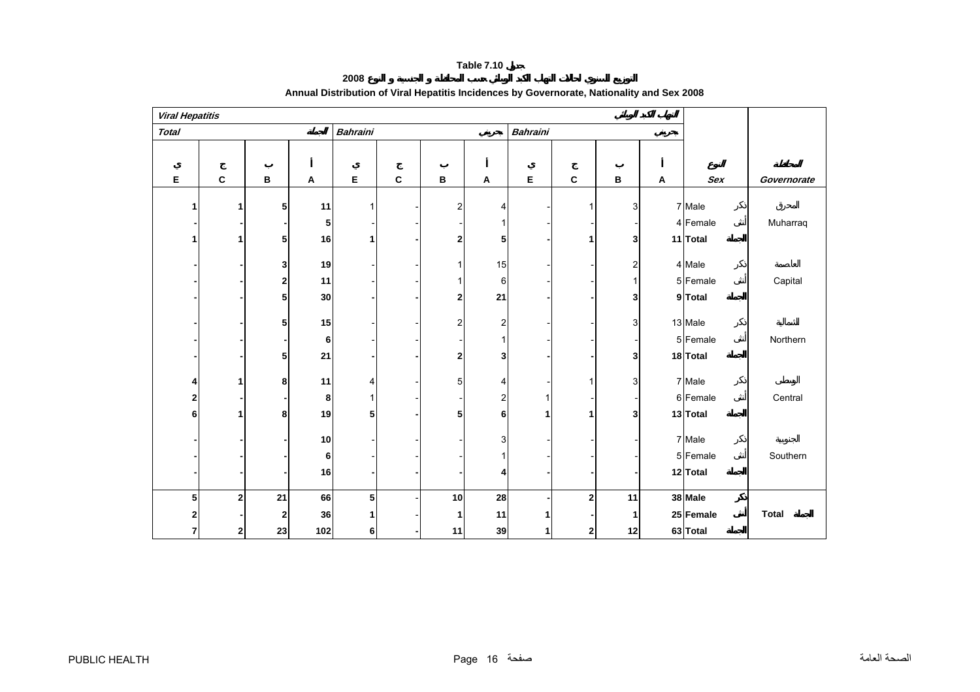**2008**

<span id="page-16-0"></span>

| <b>Viral Hepatitis</b> |                |    |     |                 |              |                         |                         |                 |              |              |   |            |              |
|------------------------|----------------|----|-----|-----------------|--------------|-------------------------|-------------------------|-----------------|--------------|--------------|---|------------|--------------|
| <b>Total</b>           |                |    |     | <b>Bahraini</b> |              |                         |                         | <b>Bahraini</b> |              |              |   |            |              |
|                        |                |    |     |                 |              |                         |                         |                 |              |              |   |            |              |
| Е                      | $\mathbf c$    | в  | A   | E               | $\mathbf{c}$ | В                       | A                       | E               | C            | $\, {\bf B}$ | Α | <b>Sex</b> | Governorate  |
|                        |                |    |     |                 |              |                         |                         |                 |              |              |   |            |              |
| 1                      |                | 5  | 11  | 1               |              | $\overline{\mathbf{c}}$ | 4                       |                 | 1            | 3            |   | 7 Male     |              |
|                        |                |    | 5   |                 |              |                         |                         |                 |              |              |   | 4 Female   | Muharraq     |
| 1                      |                | 5  | 16  | 1               |              | 2                       | 5                       |                 | 1            | 3            |   | 11 Total   |              |
|                        |                | 3  | 19  |                 |              | 1                       | 15                      |                 |              | 2            |   | 4 Male     |              |
|                        |                | 2  | 11  |                 |              | 1                       | 6                       |                 |              | 1            |   | 5 Female   | Capital      |
|                        |                | 5  | 30  |                 |              | 2                       | 21                      |                 |              | 3            |   | 9 Total    |              |
|                        |                |    |     |                 |              |                         |                         |                 |              |              |   |            |              |
|                        |                | 5  | 15  |                 |              | 2                       | $\overline{\mathbf{c}}$ |                 |              | 3            |   | 13 Male    |              |
|                        |                |    | 6   |                 |              |                         |                         |                 |              |              |   | 5 Female   | Northern     |
|                        |                | 5  | 21  |                 |              | 2                       | 3                       |                 |              | 3            |   | 18 Total   |              |
| 4                      |                | 8  | 11  | 4               |              | 5                       | 4                       |                 |              | 3            |   | 7 Male     |              |
| $\mathbf{2}$           |                |    | 8   | 1               |              |                         | 2                       |                 |              |              |   | 6 Female   | Central      |
| 6                      |                | 8  | 19  | 5               |              | 5                       | 6                       | 1               | 1            | 3            |   | 13 Total   |              |
|                        |                |    |     |                 |              |                         |                         |                 |              |              |   |            |              |
|                        |                |    | 10  |                 |              |                         | 3                       |                 |              |              |   | 7 Male     |              |
|                        |                |    | 6   |                 |              |                         |                         |                 |              |              |   | 5 Female   | Southern     |
|                        |                |    | 16  |                 |              |                         |                         |                 |              |              |   | 12 Total   |              |
| 5                      | $\overline{2}$ | 21 | 66  | 5               |              | 10                      | 28                      |                 | $\mathbf 2$  | 11           |   | 38 Male    |              |
| 2                      |                | 2  | 36  |                 |              | 1                       | 11                      |                 |              | 1            |   | 25 Female  | <b>Total</b> |
| $\overline{7}$         | $\mathbf{2}$   | 23 | 102 | 6               |              | 11                      | 39                      | 1               | $\mathbf{2}$ | 12           |   | 63 Total   |              |

# **Annual Distribution of Viral Hepatitis Incidences by Governorate, Nationality and Sex 2008**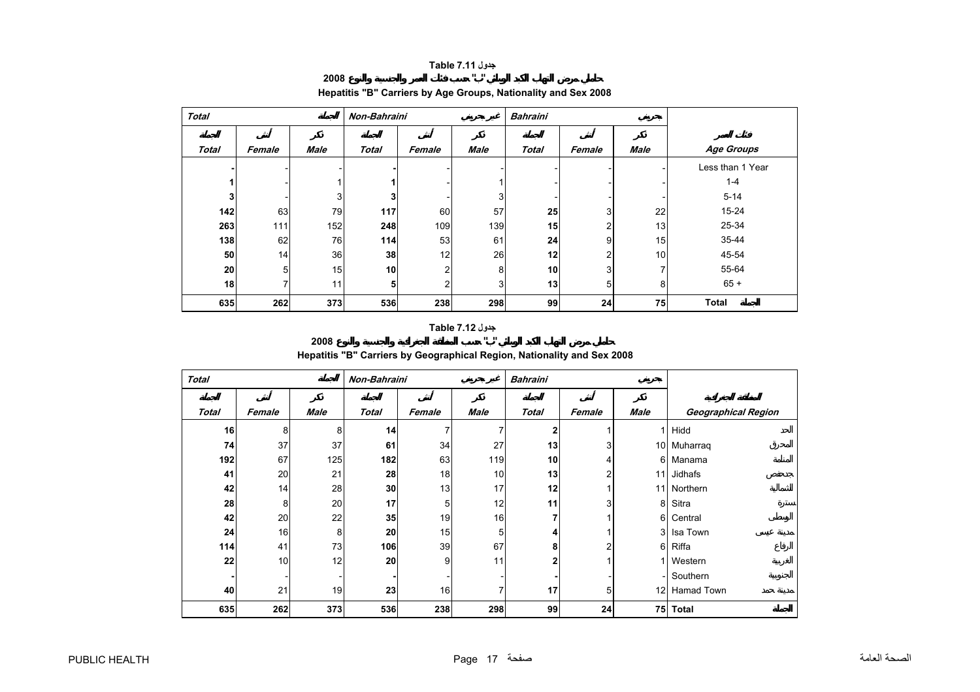#### **Table 7.11 "**

# **2008 "**

<span id="page-17-0"></span>

| <b>Total</b> |        |             | Non-Bahraini |                |             | <b>Bahraini</b> |        |             |                  |
|--------------|--------|-------------|--------------|----------------|-------------|-----------------|--------|-------------|------------------|
| <b>Total</b> | Female | <b>Male</b> | <b>Total</b> | Female         | <b>Male</b> | <b>Total</b>    | Female | <b>Male</b> | Age Groups       |
|              |        |             |              |                |             |                 |        |             | Less than 1 Year |
|              |        |             |              |                |             |                 |        |             | $1 - 4$          |
| 3            |        | 3           | 3            |                | 3           |                 |        |             | $5 - 14$         |
| 142          | 63     | 79          | 117          | 60             | 57          | 25              | 3      | 22          | 15-24            |
| 263          | 111    | 152         | 248          | 109            | 139         | 15              | 2      | 13          | 25-34            |
| 138          | 62     | 76          | 114          | 53             | 61          | 24              | 9      | 15          | 35-44            |
| 50           | 14     | 36          | 38           | 12             | 26          | 12              | 2      | 10          | 45-54            |
| 20           | 5      | 15          | 10           | 2              | 8           | 10 <sub>l</sub> | 3      | 7           | 55-64            |
| 18           | 7      | 11          | 5            | $\overline{2}$ | 3           | 13              | 5      | 8           | $65 +$           |
| 635          | 262    | 373         | 536          | 238            | 298         | 99              | 24     | 75          | <b>Total</b>     |

# **Hepatitis "B" Carriers by Age Groups, Nationality and Sex 2008**

**Table 7.12 "** 

# **2008 "**

# **Hepatitis "B" Carriers by Geographical Region, Nationality and Sex 2008**

| <b>Total</b> |        |             | Non-Bahraini |        |             | <b>Bahraini</b> |                |             |                     |
|--------------|--------|-------------|--------------|--------|-------------|-----------------|----------------|-------------|---------------------|
| <b>Total</b> | Female | <b>Male</b> | <b>Total</b> | Female | <b>Male</b> | <b>Total</b>    | Female         | <b>Male</b> | Geographical Region |
| 16           | 8      | 8           | 14           | 7      | 7           | $\mathbf{2}$    | 1              | 1           | Hidd                |
| 74           | 37     | 37          | 61           | 34     | 27          | 13              | 3 <sub>l</sub> | 10          | Muharraq            |
| 192          | 67     | 125         | 182          | 63     | 119         | 10              | 4              | 6           | Manama              |
| 41           | 20     | 21          | 28           | 18     | 10          | 13              | 2              | 11          | Jidhafs             |
| 42           | 14     | 28          | 30           | 13     | 17          | 12              | 1              | 11          | Northern            |
| 28           | 8      | 20          | 17           | 5      | 12          | 11              | 3              | 8           | Sitra               |
| 42           | 20     | 22          | 35           | 19     | 16          | 7               | 1              | 6           | Central             |
| 24           | 16     | 8           | 20           | 15     | 5           | 4               | 1              | 3           | Isa Town            |
| 114          | 41     | 73          | 106          | 39     | 67          | 8               | 2              | 6           | Riffa               |
| 22           | 10     | 12          | 20           | 9      | 11          | 2               | 1              | 1           | Western             |
|              |        |             |              |        |             |                 |                |             | Southern            |
| 40           | 21     | 19          | 23           | 16     | 7           | 17              | 5              | 12          | Hamad Town          |
| 635          | 262    | 373         | 536          | 238    | 298         | 99              | 24             | 75          | <b>Total</b>        |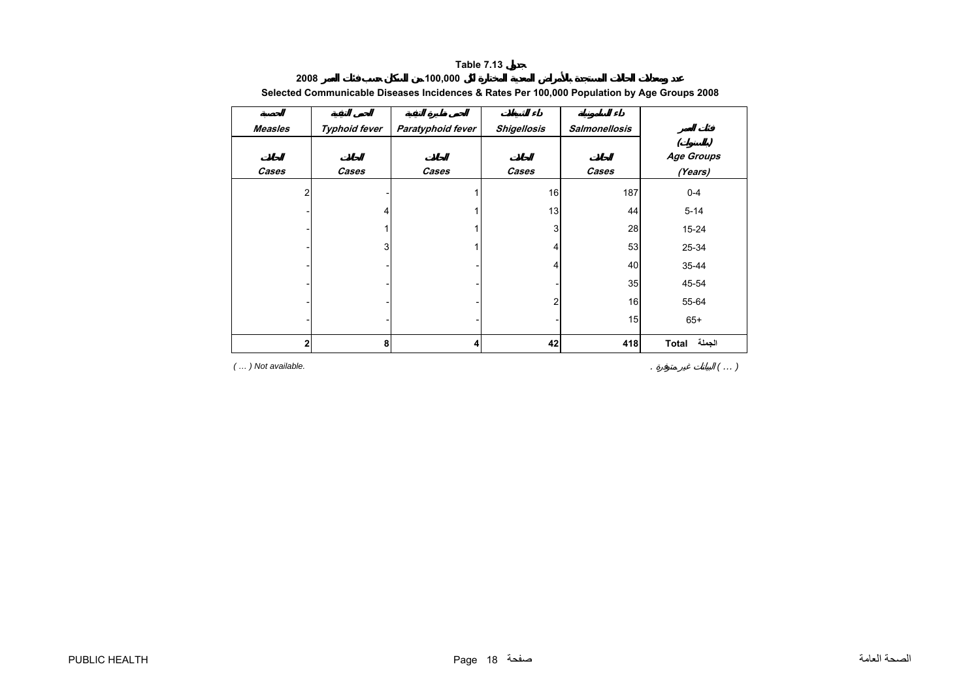| <b>Measles</b> | <b>Typhoid fever</b> | Paratyphoid fever | <b>Shigellosis</b> | <b>Salmonellosis</b> |                              |
|----------------|----------------------|-------------------|--------------------|----------------------|------------------------------|
|                |                      |                   |                    |                      |                              |
| Cases          | Cases                | Cases             | Cases              | Cases                | <b>Age Groups</b><br>(Years) |
| 2              |                      |                   | 16                 | 187                  | $0 - 4$                      |
|                | 4                    |                   | 13                 | 44                   | $5 - 14$                     |
|                |                      |                   | 3                  | 28                   | $15 - 24$                    |
|                | 3                    |                   |                    | 53                   | 25-34                        |
|                |                      |                   | 4                  | 40                   | 35-44                        |
|                |                      |                   |                    | 35                   | 45-54                        |
|                |                      |                   | 2                  | 16                   | 55-64                        |
|                |                      |                   |                    | 15                   | $65+$                        |
| $\overline{2}$ | 8                    | 4                 | 42                 | 418                  | <b>Total</b>                 |

#### **2008 100,000 Selected Communicable Diseases Incidences & Rates Per 100,000 Population by Age Groups 2008**

*( … ) Not available.* . *(* 

*… )*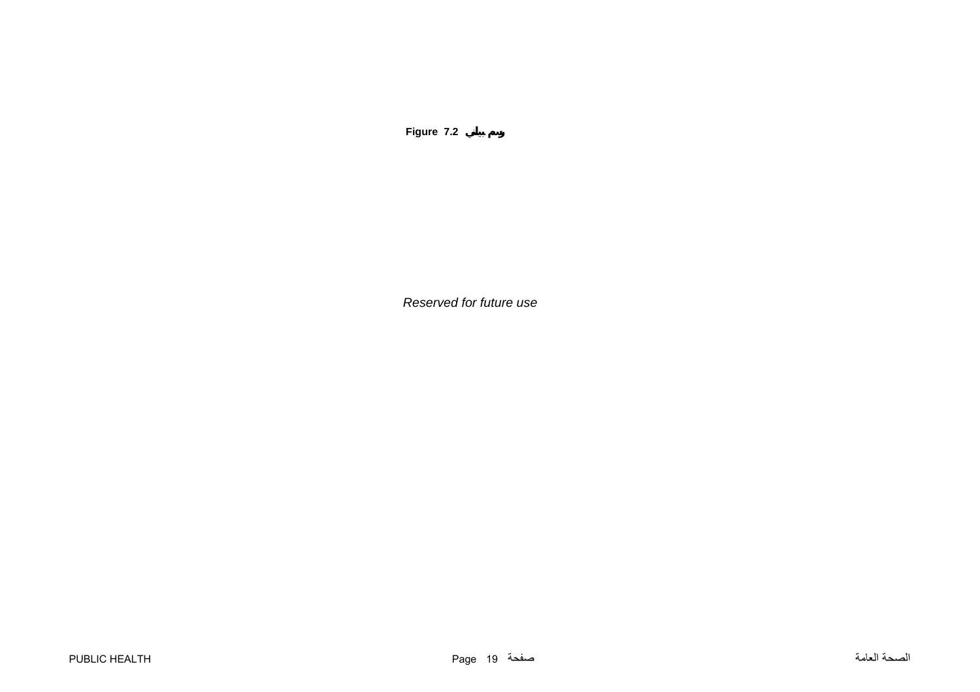**Figure 7.2**

*Reserved for future use*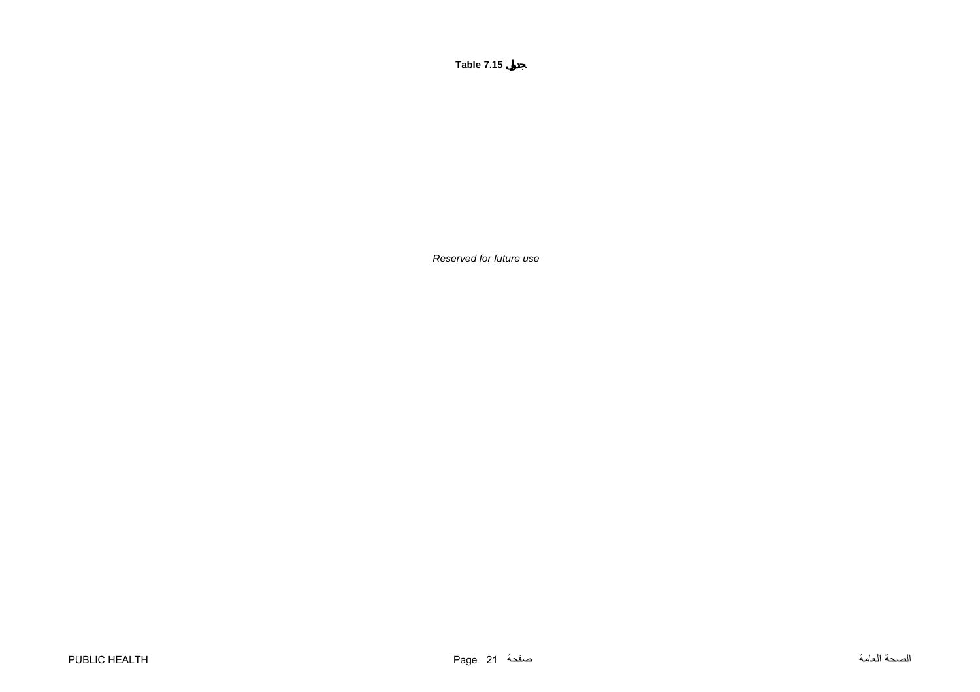*Reserved for future use*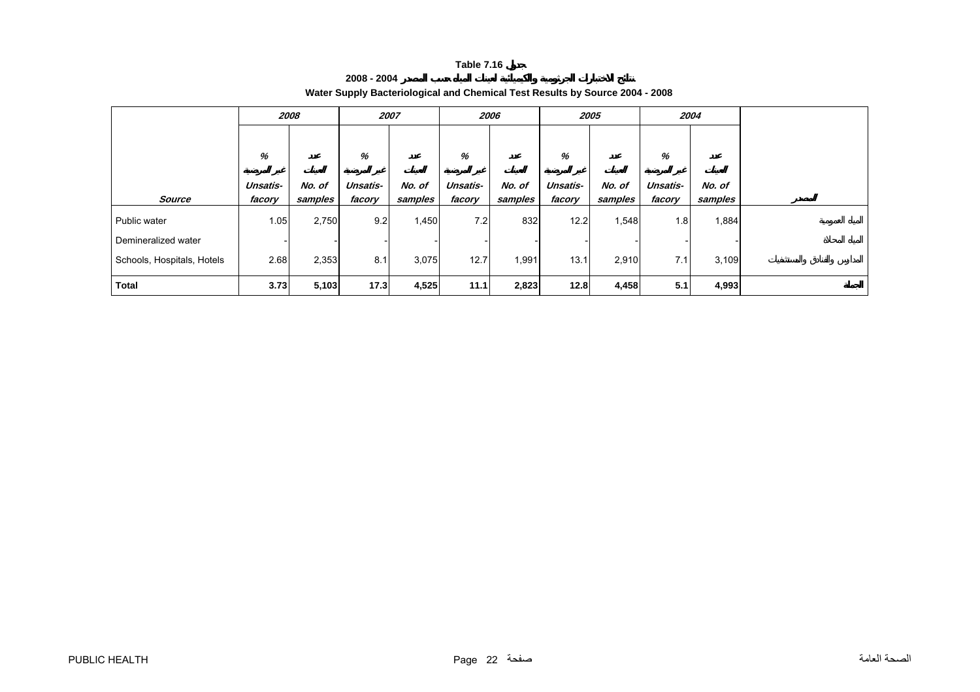| 2008 - 2004 |                                                                              |
|-------------|------------------------------------------------------------------------------|
|             | Water Supply Bacteriological and Chemical Test Results by Source 2004 - 2008 |

<span id="page-22-0"></span>

|                            |          | 2008    | 2007     |         | 2006            |         | 2005     |         |          | 2004    |
|----------------------------|----------|---------|----------|---------|-----------------|---------|----------|---------|----------|---------|
|                            | %        |         | %        |         | %               |         | %        |         | %        |         |
|                            | Unsatis- | No. of  | Unsatis- | No. of  | <b>Unsatis-</b> | No. of  | Unsatis- | No. of  | Unsatis- | No. of  |
| <b>Source</b>              | facory   | samples | facory   | samples | facory          | samples | facory   | samples | facory   | samples |
| Public water               | 1.05     | 2,750   | 9.2      | 1,450   | 7.2             | 832     | 12.2     | 1,548   | 1.8      | 1,884   |
| Demineralized water        |          |         |          |         |                 |         |          |         |          |         |
| Schools, Hospitals, Hotels | 2.68     | 2,353   | 8.1      | 3,075   | 12.7            | 1,991   | 13.1     | 2,910   | 7.1      | 3,109   |
| <b>Total</b>               | 3.73     | 5,103   | 17.3     | 4,525   | 11.1            | 2,823   | 12.8     | 4,458   | 5.1      | 4,993   |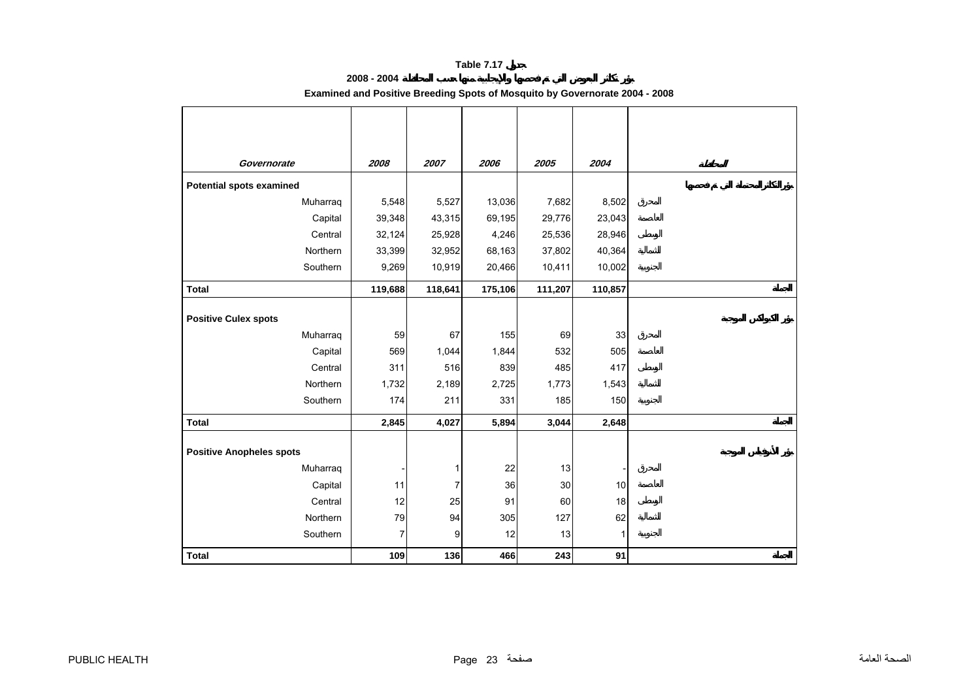# **2008 - 2004**

# **Examined and Positive Breeding Spots of Mosquito by Governorate 2004 - 2008**

<span id="page-23-0"></span>

| Governorate                     | 2008    | 2007    | 2006    | 2005    | 2004    |
|---------------------------------|---------|---------|---------|---------|---------|
| <b>Potential spots examined</b> |         |         |         |         |         |
| Muharraq                        | 5,548   | 5,527   | 13,036  | 7,682   | 8,502   |
| Capital                         | 39,348  | 43,315  | 69,195  | 29,776  | 23,043  |
| Central                         | 32,124  | 25,928  | 4,246   | 25,536  | 28,946  |
| Northern                        | 33,399  | 32,952  | 68,163  | 37,802  | 40,364  |
| Southern                        | 9,269   | 10,919  | 20,466  | 10,411  | 10,002  |
| <b>Total</b>                    | 119,688 | 118,641 | 175,106 | 111,207 | 110,857 |
| <b>Positive Culex spots</b>     |         |         |         |         |         |
| Muharraq                        | 59      | 67      | 155     | 69      | 33      |
| Capital                         | 569     | 1,044   | 1,844   | 532     | 505     |
| Central                         | 311     | 516     | 839     | 485     | 417     |
| Northern                        | 1,732   | 2,189   | 2,725   | 1,773   | 1,543   |
| Southern                        | 174     | 211     | 331     | 185     | 150     |
| <b>Total</b>                    | 2,845   | 4,027   | 5,894   | 3,044   | 2,648   |
| <b>Positive Anopheles spots</b> |         |         |         |         |         |
| Muharraq                        |         | 1       | 22      | 13      |         |
| Capital                         | 11      | 7       | 36      | 30      | 10      |
| Central                         | 12      | 25      | 91      | 60      | 18      |
| Northern                        | 79      | 94      | 305     | 127     | 62      |
| Southern                        | 7       | 9       | 12      | 13      | 1       |
| <b>Total</b>                    | 109     | 136     | 466     | 243     | 91      |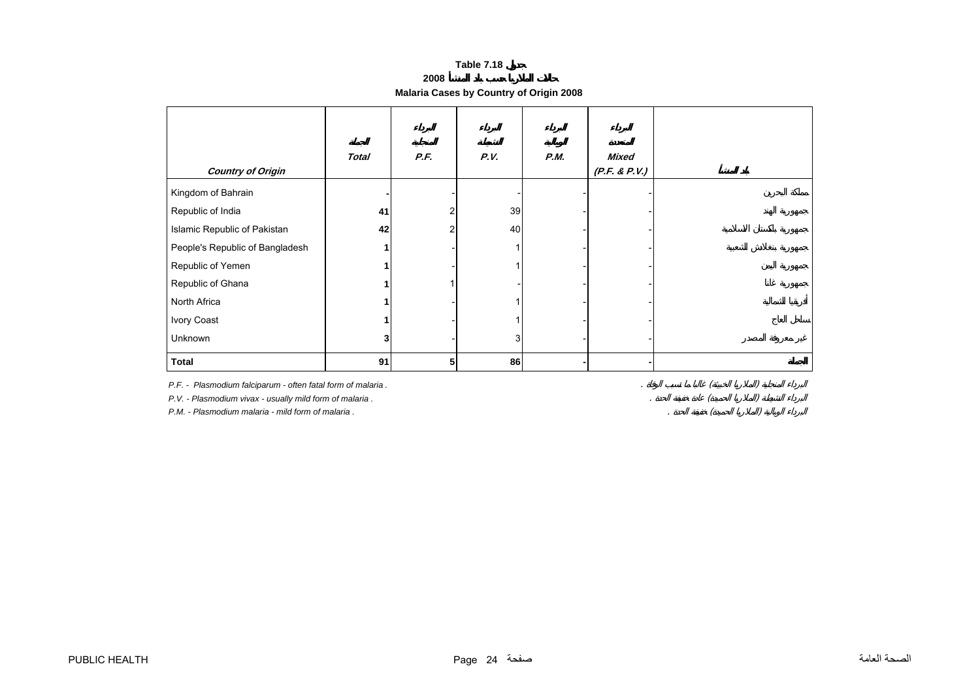**2008**

# **Malaria Cases by Country of Origin 2008**

<span id="page-24-0"></span>

|                                                             | <b>Total</b> | P.F. | P.V. | P.M. | <b>Mixed</b>  |  |
|-------------------------------------------------------------|--------------|------|------|------|---------------|--|
| <b>Country of Origin</b>                                    |              |      |      |      | (P.F. & P.V.) |  |
| Kingdom of Bahrain                                          |              |      |      |      |               |  |
| Republic of India                                           | 41           | 2    | 39   |      |               |  |
| Islamic Republic of Pakistan                                | 42           | 2    | 40   |      |               |  |
| People's Republic of Bangladesh                             |              |      |      |      |               |  |
| Republic of Yemen                                           |              |      |      |      |               |  |
| Republic of Ghana                                           |              |      |      |      |               |  |
| North Africa                                                |              |      |      |      |               |  |
| Ivory Coast                                                 |              |      |      |      |               |  |
| Unknown                                                     |              |      | 3    |      |               |  |
| <b>Total</b>                                                | 91           | 5    | 86   |      |               |  |
| P.F. - Plasmodium falciparum - often fatal form of malaria. |              |      |      |      |               |  |
| P.V. - Plasmodium vivax - usually mild form of malaria.     |              |      |      |      |               |  |
| P.M. - Plasmodium malaria - mild form of malaria.           |              |      |      |      |               |  |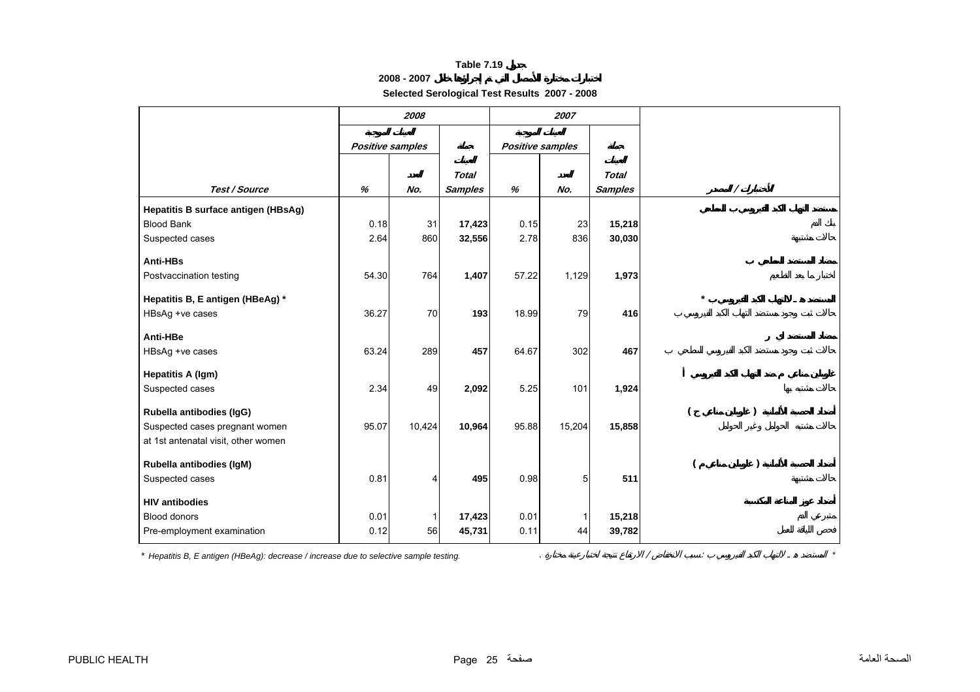# **2008 - 2007**

**Selected Serological Test Results 2007 - 2008**

<span id="page-25-0"></span>

|                                     |                         | 2008   |                |                         | 2007           |                |          |  |
|-------------------------------------|-------------------------|--------|----------------|-------------------------|----------------|----------------|----------|--|
|                                     | <b>Positive samples</b> |        |                | <b>Positive samples</b> |                |                |          |  |
|                                     |                         |        | <b>Total</b>   |                         |                |                |          |  |
| Test / Source                       | %                       | No.    | <b>Samples</b> | %                       | No.            | <b>Samples</b> | $\prime$ |  |
| Hepatitis B surface antigen (HBsAg) |                         |        |                |                         |                |                |          |  |
| <b>Blood Bank</b>                   | 0.18                    | 31     | 17,423         | 0.15                    | 23             | 15,218         |          |  |
| Suspected cases                     | 2.64                    | 860    | 32,556         | 2.78                    | 836            | 30,030         |          |  |
| Anti-HBs                            |                         |        |                |                         |                |                |          |  |
| Postvaccination testing             | 54.30                   | 764    | 1,407          | 57.22                   | 1,129          | 1,973          |          |  |
| Hepatitis B, E antigen (HBeAg) *    |                         |        |                |                         |                |                |          |  |
| HBsAg +ve cases                     | 36.27                   | 70     | 193            | 18.99                   | 79             | 416            |          |  |
| Anti-HBe                            |                         |        |                |                         |                |                |          |  |
| HBsAg +ve cases                     | 63.24                   | 289    | 457            | 64.67                   | 302            | 467            |          |  |
| <b>Hepatitis A (Igm)</b>            |                         |        |                |                         |                |                |          |  |
| Suspected cases                     | 2.34                    | 49     | 2,092          | 5.25                    | 101            | 1,924          |          |  |
| Rubella antibodies (IgG)            |                         |        |                |                         |                |                |          |  |
| Suspected cases pregnant women      | 95.07                   | 10,424 | 10,964         | 95.88                   | 15,204         | 15,858         |          |  |
| at 1st antenatal visit, other women |                         |        |                |                         |                |                |          |  |
| Rubella antibodies (IgM)            |                         |        |                |                         |                |                |          |  |
| Suspected cases                     | 0.81                    | 4      | 495            | 0.98                    | 5 <sup>5</sup> | 511            |          |  |
| <b>HIV antibodies</b>               |                         |        |                |                         |                |                |          |  |
| <b>Blood donors</b>                 | 0.01                    |        | 17,423         | 0.01                    |                | 15,218         |          |  |
| Pre-employment examination          | 0.12                    | 56     | 45,731         | 0.11                    | 44             | 39,782         |          |  |

*\* Hepatitis B, E antigen (HBeAg): decrease / increase due to selective sample testing.* . / : *\**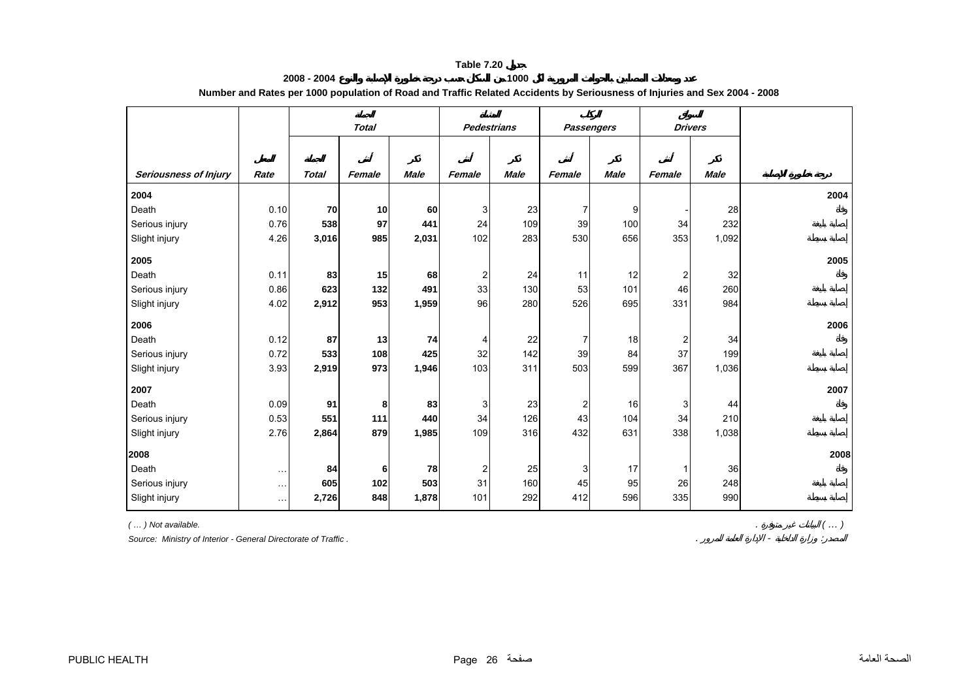| 2008 - 2004 | 1000                                                                                                                      |
|-------------|---------------------------------------------------------------------------------------------------------------------------|
|             | Number and Rates per 1000 population of Road and Traffic Related Accidents by Seriousness of Injuries and Sex 2004 - 2008 |

<span id="page-26-0"></span>

|                              |          | <b>Total</b> |        |                    |        |                   |                |             |              | <b>Drivers</b> |      |
|------------------------------|----------|--------------|--------|--------------------|--------|-------------------|----------------|-------------|--------------|----------------|------|
|                              |          |              |        | <b>Pedestrians</b> |        | <b>Passengers</b> |                |             |              |                |      |
|                              |          |              |        |                    |        |                   |                |             |              |                |      |
| <b>Seriousness of Injury</b> | Rate     | <b>Total</b> | Female | <b>Male</b>        | Female | <b>Male</b>       | Female         | <b>Male</b> | Female       | Male           |      |
| 2004                         |          |              |        |                    |        |                   |                |             |              |                | 2004 |
| Death                        | 0.10     | 70           | 10     | 60                 | 3      | 23                | 7              | 9           |              | 28             |      |
| Serious injury               | 0.76     | 538          | 97     | 441                | 24     | 109               | 39             | 100         | 34           | 232            |      |
| Slight injury                | 4.26     | 3,016        | 985    | 2,031              | 102    | 283               | 530            | 656         | 353          | 1,092          |      |
| 2005                         |          |              |        |                    |        |                   |                |             |              |                | 2005 |
| Death                        | 0.11     | 83           | 15     | 68                 | 2      | 24                | 11             | 12          | 2            | 32             |      |
| Serious injury               | 0.86     | 623          | 132    | 491                | 33     | 130               | 53             | 101         | 46           | 260            |      |
| Slight injury                | 4.02     | 2,912        | 953    | 1,959              | 96     | 280               | 526            | 695         | 331          | 984            |      |
| 2006                         |          |              |        |                    |        |                   |                |             |              |                | 2006 |
| Death                        | 0.12     | 87           | 13     | 74                 | 4      | 22                | 7              | 18          | 2            | 34             |      |
| Serious injury               | 0.72     | 533          | 108    | 425                | 32     | 142               | 39             | 84          | 37           | 199            |      |
| Slight injury                | 3.93     | 2,919        | 973    | 1,946              | 103    | 311               | 503            | 599         | 367          | 1,036          |      |
| 2007                         |          |              |        |                    |        |                   |                |             |              |                | 2007 |
| Death                        | 0.09     | 91           | 8      | 83                 | 3      | 23                | $\overline{c}$ | 16          | 3            | 44             |      |
| Serious injury               | 0.53     | 551          | 111    | 440                | 34     | 126               | 43             | 104         | 34           | 210            |      |
| Slight injury                | 2.76     | 2,864        | 879    | 1,985              | 109    | 316               | 432            | 631         | 338          | 1,038          |      |
| 2008                         |          |              |        |                    |        |                   |                |             |              |                | 2008 |
| Death                        | $\sim$   | 84           | 6      | 78                 | 2      | 25                | 3              | 17          | $\mathbf{1}$ | 36             |      |
| Serious injury               | $\cdots$ | 605          | 102    | 503                | 31     | 160               | 45             | 95          | 26           | 248            |      |
| Slight injury                | $\cdots$ | 2,726        | 848    | 1,878              | 101    | 292               | 412            | 596         | 335          | 990            |      |

*( … ) Not available.* . *( … )*

Source: Ministry of Interior - General Directorate of Traffic.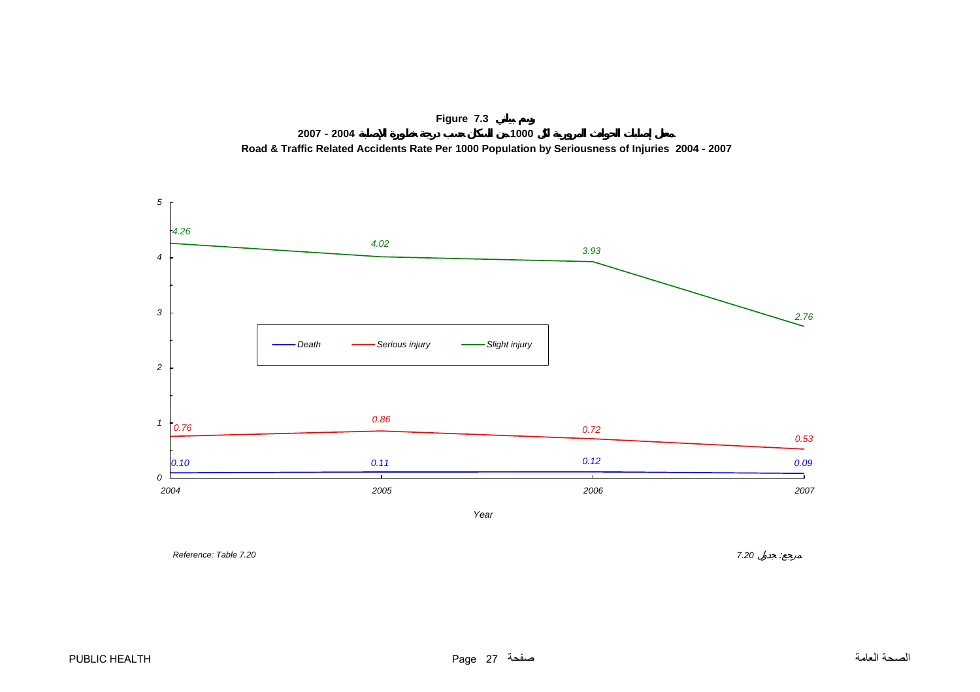<span id="page-27-0"></span>



*Year*

**Proference: Table 7.20** 7.20 *i*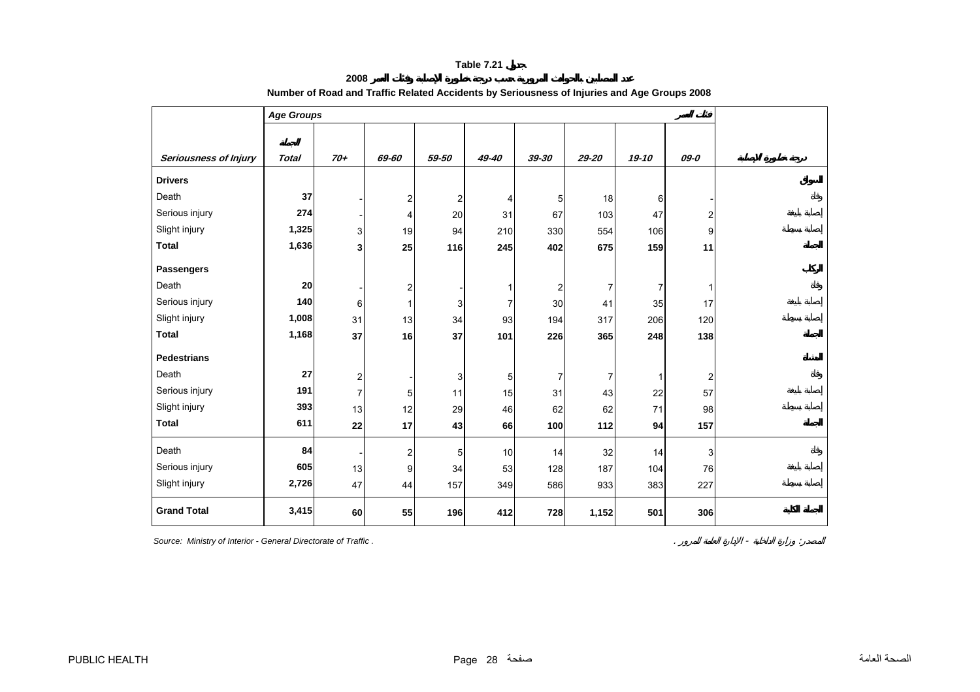**2008** 

<span id="page-28-0"></span>

|                       | <b>Age Groups</b> |                                           |                         |                         |                |                  |           |          |                |  |  |  |  |  |
|-----------------------|-------------------|-------------------------------------------|-------------------------|-------------------------|----------------|------------------|-----------|----------|----------------|--|--|--|--|--|
|                       |                   |                                           |                         |                         |                |                  |           |          |                |  |  |  |  |  |
| Seriousness of Injury | <b>Total</b>      | $70+$                                     | 69-60                   | 59-50                   | 49-40          | 39-30            | $29 - 20$ | 19-10    | 09-0           |  |  |  |  |  |
| <b>Drivers</b>        |                   |                                           |                         |                         |                |                  |           |          |                |  |  |  |  |  |
| Death                 | 37                |                                           | $\overline{\mathbf{c}}$ | $\overline{\mathbf{c}}$ | 4              | $\mathbf 5$      | 18        | 6        |                |  |  |  |  |  |
| Serious injury        | 274               |                                           | 4                       | 20                      | 31             | 67               | 103       | 47       | 2              |  |  |  |  |  |
| Slight injury         | 1,325             | 3                                         | 19                      | 94                      | 210            | 330              | 554       | 106      | 9              |  |  |  |  |  |
| <b>Total</b>          | 1,636             | 3                                         | 25                      | 116                     | 245            | 402              | 675       | 159      | 11             |  |  |  |  |  |
| <b>Passengers</b>     |                   |                                           |                         |                         |                |                  |           |          |                |  |  |  |  |  |
| Death                 | 20                |                                           | 2                       |                         | 1              | $\boldsymbol{2}$ | 7         | 7        | $\mathbf{1}$   |  |  |  |  |  |
| Serious injury        | 140               | 6                                         | 1                       | 3                       | $\overline{7}$ | 30               | 41        | 35       | 17             |  |  |  |  |  |
| Slight injury         | 1,008             | 31                                        | 13                      | 34                      | 93             | 194              | 317       | 206      | 120            |  |  |  |  |  |
| <b>Total</b>          | 1,168             | 37                                        | 16                      | 37                      | 101            | 226              | 365       | 248      | 138            |  |  |  |  |  |
| <b>Pedestrians</b>    |                   |                                           |                         |                         |                |                  |           |          |                |  |  |  |  |  |
| Death                 | 27                |                                           |                         |                         |                |                  |           |          |                |  |  |  |  |  |
| Serious injury        | 191               | $\overline{\mathbf{c}}$<br>$\overline{7}$ |                         | 3                       | 5              | $\overline{7}$   | 7         | 1        | $\overline{2}$ |  |  |  |  |  |
| Slight injury         | 393               | 13                                        | 5                       | 11                      | 15<br>46       | 31               | 43        | 22<br>71 | 57<br>98       |  |  |  |  |  |
| <b>Total</b>          | 611               |                                           | 12                      | 29                      |                | 62               | 62        |          |                |  |  |  |  |  |
|                       |                   | 22                                        | 17                      | 43                      | 66             | 100              | 112       | 94       | 157            |  |  |  |  |  |
| Death                 | 84                |                                           | 2                       | 5                       | 10             | 14               | 32        | 14       | 3              |  |  |  |  |  |
| Serious injury        | 605               | 13                                        | 9                       | 34                      | 53             | 128              | 187       | 104      | 76             |  |  |  |  |  |
| Slight injury         | 2,726             | 47                                        | 44                      | 157                     | 349            | 586              | 933       | 383      | 227            |  |  |  |  |  |
| <b>Grand Total</b>    | 3,415             | 60                                        | 55                      | 196                     | 412            | 728              | 1,152     | 501      | 306            |  |  |  |  |  |

# **Number of Road and Traffic Related Accidents by Seriousness of Injuries and Age Groups 2008**

**Source: Ministry of Interior - General Directorate of Traffic .**  $\blacksquare$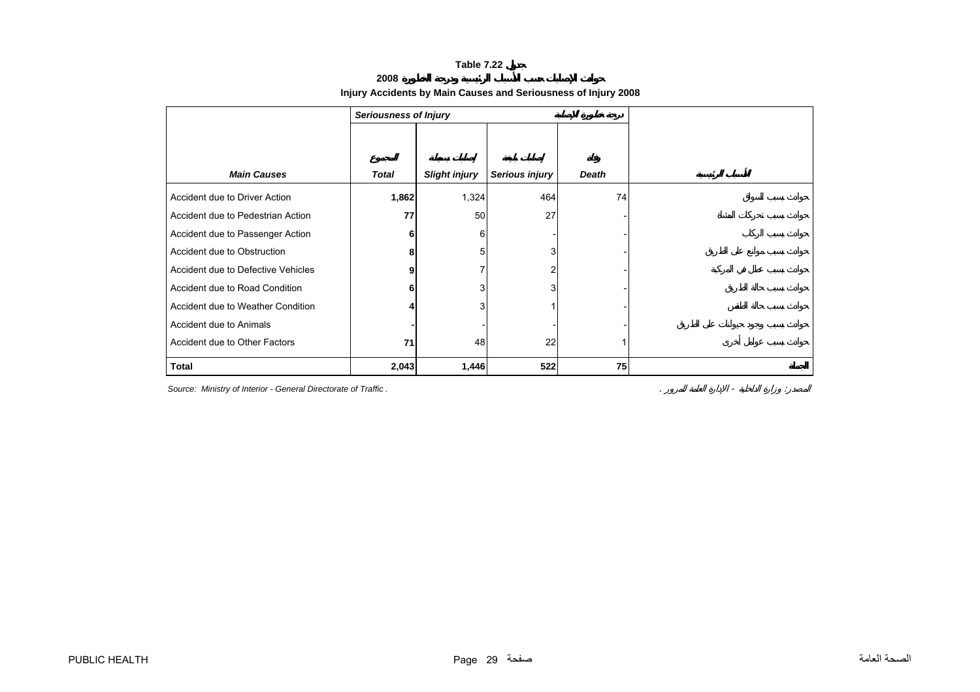#### **2008**

# **Injury Accidents by Main Causes and Seriousness of Injury 2008**

<span id="page-29-0"></span>

|                                    | <b>Seriousness of Injury</b> |                      |                |              |  |  |  |  |  |
|------------------------------------|------------------------------|----------------------|----------------|--------------|--|--|--|--|--|
|                                    |                              |                      |                |              |  |  |  |  |  |
|                                    |                              |                      |                |              |  |  |  |  |  |
| <b>Main Causes</b>                 | <b>Total</b>                 | <b>Slight injury</b> | Serious injury | <b>Death</b> |  |  |  |  |  |
| Accident due to Driver Action      | 1,862                        | 1,324                | 464            | 74           |  |  |  |  |  |
| Accident due to Pedestrian Action  | 77                           | 50                   | 27             |              |  |  |  |  |  |
| Accident due to Passenger Action   | 6                            | 6                    |                |              |  |  |  |  |  |
| Accident due to Obstruction        | 8                            | 5                    | 3              |              |  |  |  |  |  |
| Accident due to Defective Vehicles | 9                            |                      |                |              |  |  |  |  |  |
| Accident due to Road Condition     | 6                            | 3                    | 3              |              |  |  |  |  |  |
| Accident due to Weather Condition  |                              | 3                    |                |              |  |  |  |  |  |
| Accident due to Animals            |                              |                      |                |              |  |  |  |  |  |
| Accident due to Other Factors      | 71                           | 48                   | 22             |              |  |  |  |  |  |
| <b>Total</b>                       | 2,043                        | 1,446                | 522            | 75           |  |  |  |  |  |

**Source: Ministry of Interior - General Directorate of Traffic .**  $\blacksquare$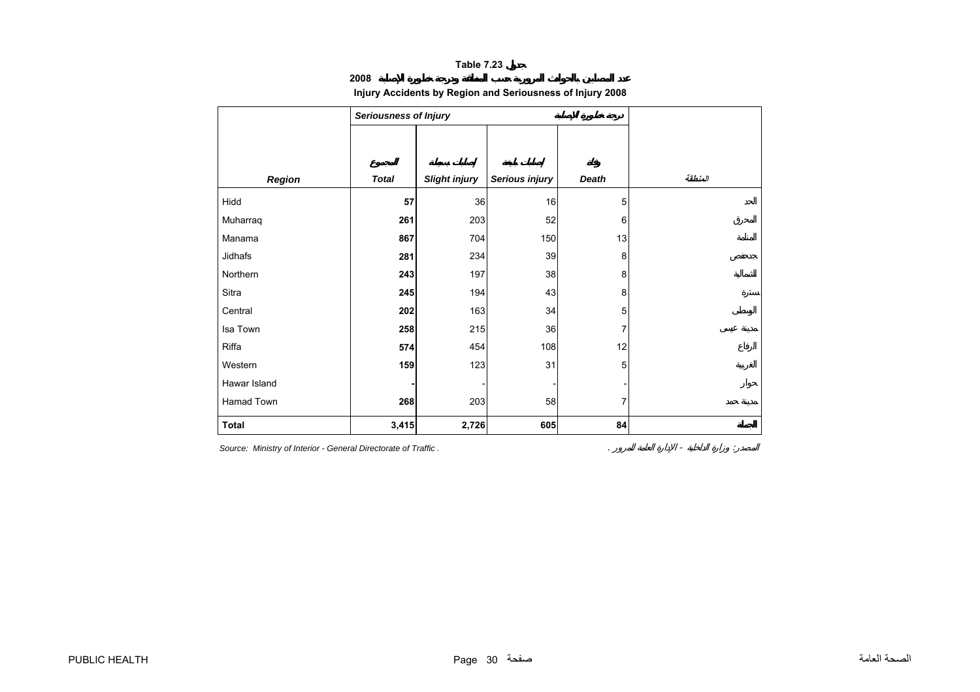**2008**

# **Injury Accidents by Region and Seriousness of Injury 2008**

<span id="page-30-0"></span>

|              | <b>Seriousness of Injury</b> |                      |                |             |  |  |  |  |  |  |  |  |
|--------------|------------------------------|----------------------|----------------|-------------|--|--|--|--|--|--|--|--|
|              |                              |                      |                |             |  |  |  |  |  |  |  |  |
|              |                              |                      |                |             |  |  |  |  |  |  |  |  |
| Region       | <b>Total</b>                 | <b>Slight injury</b> | Serious injury | Death       |  |  |  |  |  |  |  |  |
| Hidd         | 57                           | 36                   | 16             | 5           |  |  |  |  |  |  |  |  |
| Muharraq     | 261                          | 203                  | 52             | 6           |  |  |  |  |  |  |  |  |
| Manama       | 867                          | 704                  | 150            | 13          |  |  |  |  |  |  |  |  |
| Jidhafs      | 281                          | 234                  | 39             | 8           |  |  |  |  |  |  |  |  |
| Northern     | 243                          | 197                  | 38             | 8           |  |  |  |  |  |  |  |  |
| Sitra        | 245                          | 194                  | 43             | 8           |  |  |  |  |  |  |  |  |
| Central      | 202                          | 163                  | 34             | 5           |  |  |  |  |  |  |  |  |
| Isa Town     | 258                          | 215                  | 36             | 7           |  |  |  |  |  |  |  |  |
| Riffa        | 574                          | 454                  | 108            | 12          |  |  |  |  |  |  |  |  |
| Western      | 159                          | 123                  | 31             | $\mathbf 5$ |  |  |  |  |  |  |  |  |
| Hawar Island |                              |                      |                |             |  |  |  |  |  |  |  |  |
| Hamad Town   | 268                          | 203                  | 58             | 7           |  |  |  |  |  |  |  |  |
| <b>Total</b> | 3,415                        | 2,726                | 605            | 84          |  |  |  |  |  |  |  |  |

*Source: Ministry of Interior - General Directorate of Traffic .* . - :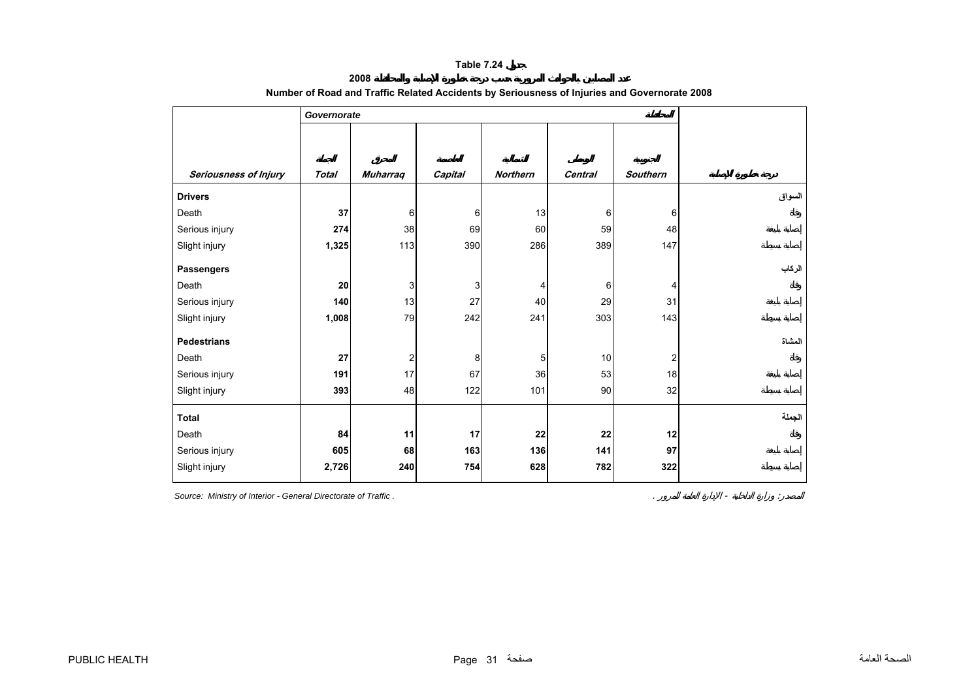**2008** 

<span id="page-31-0"></span>

| Seriousness of Injury<br><b>Muharraq</b><br>Capital<br><b>Northern</b><br><b>Southern</b><br><b>Total</b><br><b>Central</b> |
|-----------------------------------------------------------------------------------------------------------------------------|
| <b>Drivers</b>                                                                                                              |
| 37<br>13<br>Death<br>6<br>6<br>6<br>6                                                                                       |
| 38<br>Serious injury<br>274<br>69<br>59<br>48<br>60                                                                         |
| 113<br>390<br>286<br>389<br>147<br>Slight injury<br>1,325                                                                   |
| <b>Passengers</b>                                                                                                           |
| Death<br>20<br>3<br>3<br>6<br>4<br>4                                                                                        |
| 13<br>27<br>40<br>29<br>31<br>Serious injury<br>140                                                                         |
| Slight injury<br>1,008<br>79<br>242<br>241<br>303<br>143                                                                    |
| <b>Pedestrians</b>                                                                                                          |
| Death<br>27<br>$\overline{\mathbf{c}}$<br>10<br>2<br>8<br>5                                                                 |
| 17<br>Serious injury<br>67<br>36<br>53<br>191<br>18                                                                         |
| 48<br>Slight injury<br>393<br>122<br>101<br>90<br>32                                                                        |
| <b>Total</b>                                                                                                                |
| 84<br>17<br>22<br>Death<br>11<br>22<br>12                                                                                   |
| Serious injury<br>605<br>68<br>163<br>136<br>141<br>97                                                                      |
| Slight injury<br>2,726<br>240<br>754<br>628<br>782<br>322                                                                   |

# **Number of Road and Traffic Related Accidents by Seriousness of Injuries and Governorate 2008**

**Source: Ministry of Interior - General Directorate of Traffic .**  $\blacksquare$